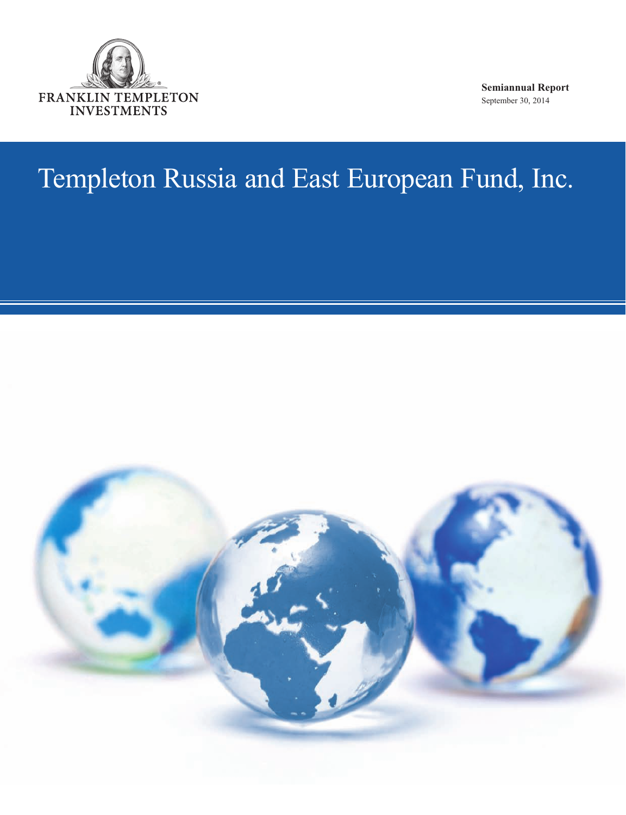

**Semiannual Report**  September 30, 2014

# Templeton Russia and East European Fund, Inc.

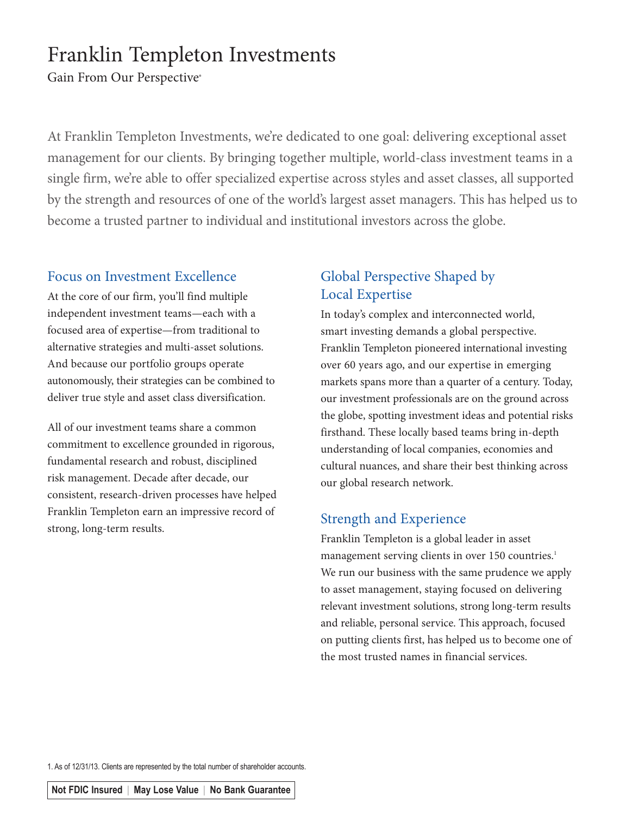# Franklin Templeton Investments

Gain From Our Perspective®

At Franklin Templeton Investments, we're dedicated to one goal: delivering exceptional asset management for our clients. By bringing together multiple, world-class investment teams in a single firm, we're able to offer specialized expertise across styles and asset classes, all supported by the strength and resources of one of the world's largest asset managers. This has helped us to become a trusted partner to individual and institutional investors across the globe.

# Focus on Investment Excellence

At the core of our firm, you'll find multiple independent investment teams—each with a focused area of expertise—from traditional to alternative strategies and multi-asset solutions. And because our portfolio groups operate autonomously, their strategies can be combined to deliver true style and asset class diversification.

All of our investment teams share a common commitment to excellence grounded in rigorous, fundamental research and robust, disciplined risk management. Decade after decade, our consistent, research-driven processes have helped Franklin Templeton earn an impressive record of strong, long-term results.

# Global Perspective Shaped by Local Expertise

In today's complex and interconnected world, smart investing demands a global perspective. Franklin Templeton pioneered international investing over 60 years ago, and our expertise in emerging markets spans more than a quarter of a century. Today, our investment professionals are on the ground across the globe, spotting investment ideas and potential risks firsthand. These locally based teams bring in-depth understanding of local companies, economies and cultural nuances, and share their best thinking across our global research network.

# Strength and Experience

Franklin Templeton is a global leader in asset management serving clients in over 150 countries.<sup>1</sup> We run our business with the same prudence we apply to asset management, staying focused on delivering relevant investment solutions, strong long-term results and reliable, personal service. This approach, focused on putting clients first, has helped us to become one of the most trusted names in financial services.

1. As of 12/31/13. Clients are represented by the total number of shareholder accounts.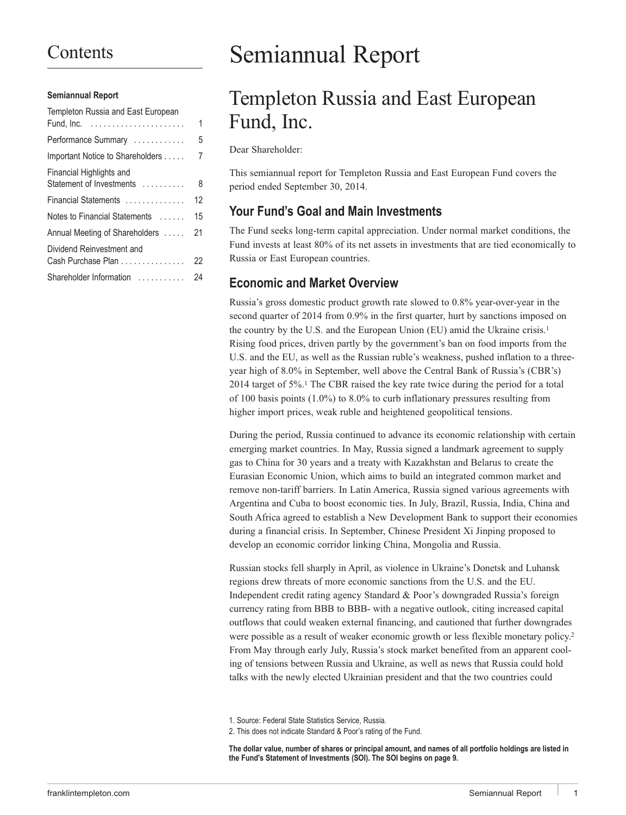# **Contents**

#### **Semiannual Report**

| Templeton Russia and East European                    |    |
|-------------------------------------------------------|----|
| Fund, Inc. $\dots\dots\dots\dots\dots\dots\dots\dots$ | 1  |
| Performance Summary                                   | 5  |
| Important Notice to Shareholders                      | 7  |
| Financial Highlights and<br>Statement of Investments  | 8  |
| Financial Statements                                  | 12 |
| Notes to Financial Statements                         | 15 |
| Annual Meeting of Shareholders                        | 21 |
| Dividend Reinvestment and<br>Cash Purchase Plan       | 22 |
| Shareholder Information                               | 24 |
|                                                       |    |

# Semiannual Report

# Templeton Russia and East European Fund, Inc.

Dear Shareholder:

This semiannual report for Templeton Russia and East European Fund covers the period ended September 30, 2014.

# **Your Fund's Goal and Main Investments**

The Fund seeks long-term capital appreciation. Under normal market conditions, the Fund invests at least 80% of its net assets in investments that are tied economically to Russia or East European countries.

# **Economic and Market Overview**

Russia's gross domestic product growth rate slowed to 0.8% year-over-year in the second quarter of 2014 from 0.9% in the first quarter, hurt by sanctions imposed on the country by the U.S. and the European Union (EU) amid the Ukraine crisis.1 Rising food prices, driven partly by the government's ban on food imports from the U.S. and the EU, as well as the Russian ruble's weakness, pushed inflation to a threeyear high of 8.0% in September, well above the Central Bank of Russia's (CBR's) 2014 target of 5%.1 The CBR raised the key rate twice during the period for a total of 100 basis points (1.0%) to 8.0% to curb inflationary pressures resulting from higher import prices, weak ruble and heightened geopolitical tensions.

During the period, Russia continued to advance its economic relationship with certain emerging market countries. In May, Russia signed a landmark agreement to supply gas to China for 30 years and a treaty with Kazakhstan and Belarus to create the Eurasian Economic Union, which aims to build an integrated common market and remove non-tariff barriers. In Latin America, Russia signed various agreements with Argentina and Cuba to boost economic ties. In July, Brazil, Russia, India, China and South Africa agreed to establish a New Development Bank to support their economies during a financial crisis. In September, Chinese President Xi Jinping proposed to develop an economic corridor linking China, Mongolia and Russia.

Russian stocks fell sharply in April, as violence in Ukraine's Donetsk and Luhansk regions drew threats of more economic sanctions from the U.S. and the EU. Independent credit rating agency Standard & Poor's downgraded Russia's foreign currency rating from BBB to BBB- with a negative outlook, citing increased capital outflows that could weaken external financing, and cautioned that further downgrades were possible as a result of weaker economic growth or less flexible monetary policy.<sup>2</sup> From May through early July, Russia's stock market benefited from an apparent cooling of tensions between Russia and Ukraine, as well as news that Russia could hold talks with the newly elected Ukrainian president and that the two countries could

<sup>1.</sup> Source: Federal State Statistics Service, Russia.

<sup>2.</sup> This does not indicate Standard & Poor's rating of the Fund.

**The dollar value, number of shares or principal amount, and names of all portfolio holdings are listed in the Fund's Statement of Investments (SOI). The SOI begins on page 9.**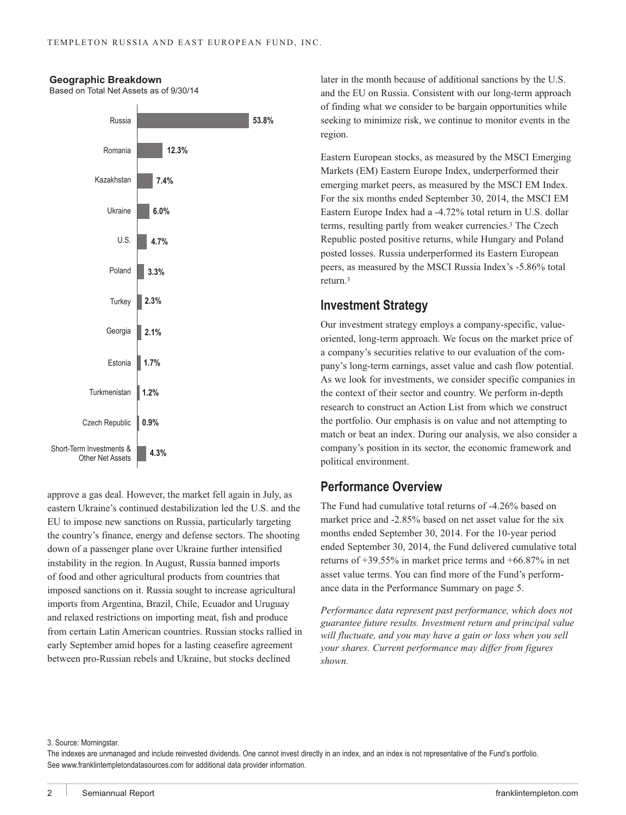

**Geographic Breakdown**

Based on Total Net Assets as of 9/30/14

approve a gas deal. However, the market fell again in July, as eastern Ukraine's continued destabilization led the U.S. and the EU to impose new sanctions on Russia, particularly targeting the country's finance, energy and defense sectors. The shooting down of a passenger plane over Ukraine further intensified instability in the region. In August, Russia banned imports of food and other agricultural products from countries that imposed sanctions on it. Russia sought to increase agricultural imports from Argentina, Brazil, Chile, Ecuador and Uruguay and relaxed restrictions on importing meat, fish and produce from certain Latin American countries. Russian stocks rallied in early September amid hopes for a lasting ceasefire agreement between pro-Russian rebels and Ukraine, but stocks declined

later in the month because of additional sanctions by the U.S. and the EU on Russia. Consistent with our long-term approach of finding what we consider to be bargain opportunities while seeking to minimize risk, we continue to monitor events in the region.

Eastern European stocks, as measured by the MSCI Emerging Markets (EM) Eastern Europe Index, underperformed their emerging market peers, as measured by the MSCI EM Index. For the six months ended September 30, 2014, the MSCI EM Eastern Europe Index had a -4.72% total return in U.S. dollar terms, resulting partly from weaker currencies.3 The Czech Republic posted positive returns, while Hungary and Poland posted losses. Russia underperformed its Eastern European peers, as measured by the MSCI Russia Index's -5.86% total return.3

# **Investment Strategy**

Our investment strategy employs a company-specific, valueoriented, long-term approach. We focus on the market price of a company's securities relative to our evaluation of the company's long-term earnings, asset value and cash flow potential. As we look for investments, we consider specific companies in the context of their sector and country. We perform in-depth research to construct an Action List from which we construct the portfolio. Our emphasis is on value and not attempting to match or beat an index. During our analysis, we also consider a company's position in its sector, the economic framework and political environment.

# **Performance Overview**

The Fund had cumulative total returns of -4.26% based on market price and -2.85% based on net asset value for the six months ended September 30, 2014. For the 10-year period ended September 30, 2014, the Fund delivered cumulative total returns of +39.55% in market price terms and +66.87% in net asset value terms. You can find more of the Fund's performance data in the Performance Summary on page 5.

*Performance data represent past performance, which does not guarantee future results. Investment return and principal value will fluctuate, and you may have a gain or loss when you sell your shares. Current performance may differ from figures shown.*

3. Source: Morningstar.

The indexes are unmanaged and include reinvested dividends. One cannot invest directly in an index, and an index is not representative of the Fund's portfolio. See www.franklintempletondatasources.com for additional data provider information.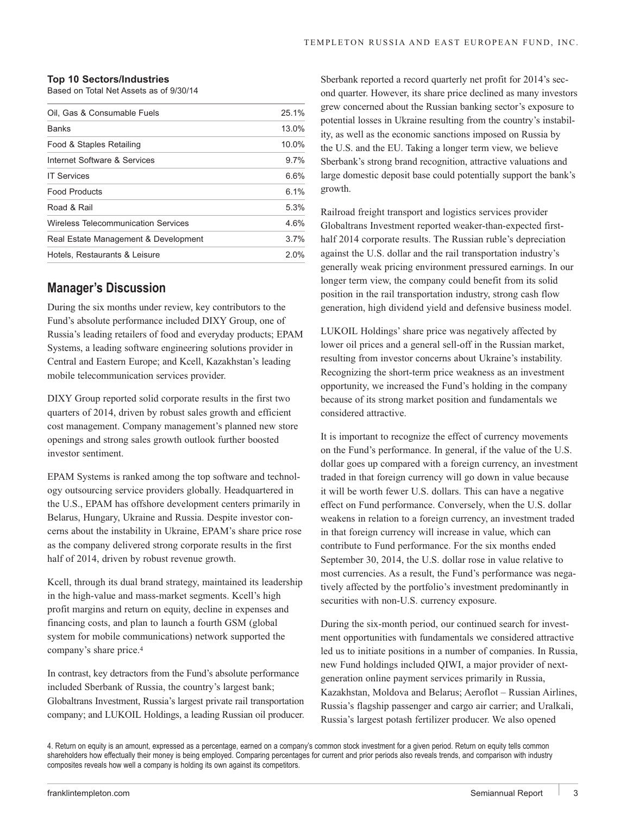### **Top 10 Sectors/Industries**

Based on Total Net Assets as of 9/30/14

| Oil. Gas & Consumable Fuels          | 25.1%   |
|--------------------------------------|---------|
| <b>Banks</b>                         | 13.0%   |
| Food & Staples Retailing             | 10.0%   |
| Internet Software & Services         | 9.7%    |
| <b>IT Services</b>                   | 6.6%    |
| <b>Food Products</b>                 | 6.1%    |
| Road & Rail                          | 5.3%    |
| Wireless Telecommunication Services  | 4.6%    |
| Real Estate Management & Development | 3.7%    |
| Hotels. Restaurants & Leisure        | $2.0\%$ |

# **Manager's Discussion**

During the six months under review, key contributors to the Fund's absolute performance included DIXY Group, one of Russia's leading retailers of food and everyday products; EPAM Systems, a leading software engineering solutions provider in Central and Eastern Europe; and Kcell, Kazakhstan's leading mobile telecommunication services provider.

DIXY Group reported solid corporate results in the first two quarters of 2014, driven by robust sales growth and efficient cost management. Company management's planned new store openings and strong sales growth outlook further boosted investor sentiment.

EPAM Systems is ranked among the top software and technology outsourcing service providers globally. Headquartered in the U.S., EPAM has offshore development centers primarily in Belarus, Hungary, Ukraine and Russia. Despite investor concerns about the instability in Ukraine, EPAM's share price rose as the company delivered strong corporate results in the first half of 2014, driven by robust revenue growth.

Kcell, through its dual brand strategy, maintained its leadership in the high-value and mass-market segments. Kcell's high profit margins and return on equity, decline in expenses and financing costs, and plan to launch a fourth GSM (global system for mobile communications) network supported the company's share price.4

In contrast, key detractors from the Fund's absolute performance included Sberbank of Russia, the country's largest bank; Globaltrans Investment, Russia's largest private rail transportation company; and LUKOIL Holdings, a leading Russian oil producer. Sberbank reported a record quarterly net profit for 2014's second quarter. However, its share price declined as many investors grew concerned about the Russian banking sector's exposure to potential losses in Ukraine resulting from the country's instability, as well as the economic sanctions imposed on Russia by the U.S. and the EU. Taking a longer term view, we believe Sberbank's strong brand recognition, attractive valuations and large domestic deposit base could potentially support the bank's growth.

Railroad freight transport and logistics services provider Globaltrans Investment reported weaker-than-expected firsthalf 2014 corporate results. The Russian ruble's depreciation against the U.S. dollar and the rail transportation industry's generally weak pricing environment pressured earnings. In our longer term view, the company could benefit from its solid position in the rail transportation industry, strong cash flow generation, high dividend yield and defensive business model.

LUKOIL Holdings' share price was negatively affected by lower oil prices and a general sell-off in the Russian market, resulting from investor concerns about Ukraine's instability. Recognizing the short-term price weakness as an investment opportunity, we increased the Fund's holding in the company because of its strong market position and fundamentals we considered attractive.

It is important to recognize the effect of currency movements on the Fund's performance. In general, if the value of the U.S. dollar goes up compared with a foreign currency, an investment traded in that foreign currency will go down in value because it will be worth fewer U.S. dollars. This can have a negative effect on Fund performance. Conversely, when the U.S. dollar weakens in relation to a foreign currency, an investment traded in that foreign currency will increase in value, which can contribute to Fund performance. For the six months ended September 30, 2014, the U.S. dollar rose in value relative to most currencies. As a result, the Fund's performance was negatively affected by the portfolio's investment predominantly in securities with non-U.S. currency exposure.

During the six-month period, our continued search for investment opportunities with fundamentals we considered attractive led us to initiate positions in a number of companies. In Russia, new Fund holdings included QIWI, a major provider of nextgeneration online payment services primarily in Russia, Kazakhstan, Moldova and Belarus; Aeroflot – Russian Airlines, Russia's flagship passenger and cargo air carrier; and Uralkali, Russia's largest potash fertilizer producer. We also opened

<sup>4.</sup> Return on equity is an amount, expressed as a percentage, earned on a company's common stock investment for a given period. Return on equity tells common shareholders how effectually their money is being employed. Comparing percentages for current and prior periods also reveals trends, and comparison with industry composites reveals how well a company is holding its own against its competitors.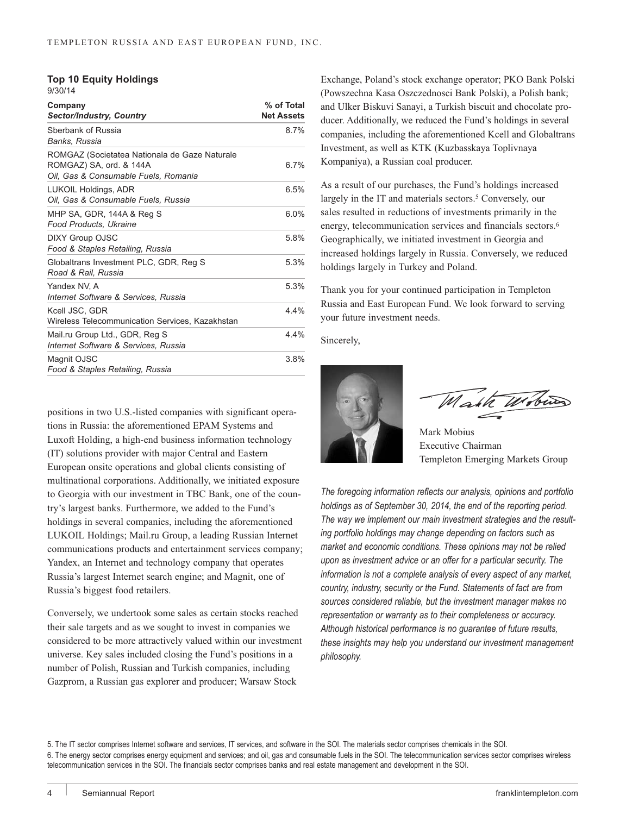|         |  | <b>Top 10 Equity Holdings</b> |
|---------|--|-------------------------------|
| 9/30/14 |  |                               |

| Company<br><b>Sector/Industry, Country</b>                                                                       | % of Total<br><b>Net Assets</b> |
|------------------------------------------------------------------------------------------------------------------|---------------------------------|
| Sberbank of Russia<br>Banks, Russia                                                                              | 8.7%                            |
| ROMGAZ (Societatea Nationala de Gaze Naturale<br>ROMGAZ) SA, ord. & 144A<br>Oil, Gas & Consumable Fuels, Romania | 6.7%                            |
| <b>LUKOIL Holdings, ADR</b><br>Oil, Gas & Consumable Fuels, Russia                                               | 6.5%                            |
| MHP SA, GDR, 144A & Reg S<br>Food Products, Ukraine                                                              | $6.0\%$                         |
| <b>DIXY Group OJSC</b><br>Food & Staples Retailing, Russia                                                       | 5.8%                            |
| Globaltrans Investment PLC, GDR, Reg S<br>Road & Rail, Russia                                                    | 5.3%                            |
| Yandex NV, A<br>Internet Software & Services. Russia                                                             | 5.3%                            |
| Kcell JSC, GDR<br>Wireless Telecommunication Services, Kazakhstan                                                | 4.4%                            |
| Mail.ru Group Ltd., GDR, Reg S<br>Internet Software & Services, Russia                                           | 4.4%                            |
| Magnit OJSC<br>Food & Staples Retailing, Russia                                                                  | 3.8%                            |

positions in two U.S.-listed companies with significant operations in Russia: the aforementioned EPAM Systems and Luxoft Holding, a high-end business information technology (IT) solutions provider with major Central and Eastern European onsite operations and global clients consisting of multinational corporations. Additionally, we initiated exposure to Georgia with our investment in TBC Bank, one of the country's largest banks. Furthermore, we added to the Fund's holdings in several companies, including the aforementioned LUKOIL Holdings; Mail.ru Group, a leading Russian Internet communications products and entertainment services company; Yandex, an Internet and technology company that operates Russia's largest Internet search engine; and Magnit, one of Russia's biggest food retailers.

Conversely, we undertook some sales as certain stocks reached their sale targets and as we sought to invest in companies we considered to be more attractively valued within our investment universe. Key sales included closing the Fund's positions in a number of Polish, Russian and Turkish companies, including Gazprom, a Russian gas explorer and producer; Warsaw Stock

Exchange, Poland's stock exchange operator; PKO Bank Polski (Powszechna Kasa Oszczednosci Bank Polski), a Polish bank; and Ulker Biskuvi Sanayi, a Turkish biscuit and chocolate producer. Additionally, we reduced the Fund's holdings in several companies, including the aforementioned Kcell and Globaltrans Investment, as well as KTK (Kuzbasskaya Toplivnaya Kompaniya), a Russian coal producer.

As a result of our purchases, the Fund's holdings increased largely in the IT and materials sectors.<sup>5</sup> Conversely, our sales resulted in reductions of investments primarily in the energy, telecommunication services and financials sectors.6 Geographically, we initiated investment in Georgia and increased holdings largely in Russia. Conversely, we reduced holdings largely in Turkey and Poland.

Thank you for your continued participation in Templeton Russia and East European Fund. We look forward to serving your future investment needs.

Sincerely,



Mahk Wobin

Mark Mobius Executive Chairman Templeton Emerging Markets Group

*The foregoing information reflects our analysis, opinions and portfolio holdings as of September 30, 2014, the end of the reporting period. The way we implement our main investment strategies and the resulting portfolio holdings may change depending on factors such as market and economic conditions. These opinions may not be relied upon as investment advice or an offer for a particular security. The information is not a complete analysis of every aspect of any market, country, industry, security or the Fund. Statements of fact are from sources considered reliable, but the investment manager makes no representation or warranty as to their completeness or accuracy. Although historical performance is no guarantee of future results, these insights may help you understand our investment management philosophy.*

5. The IT sector comprises Internet software and services, IT services, and software in the SOI. The materials sector comprises chemicals in the SOI. 6. The energy sector comprises energy equipment and services; and oil, gas and consumable fuels in the SOI. The telecommunication services sector comprises wireless telecommunication services in the SOI. The financials sector comprises banks and real estate management and development in the SOI.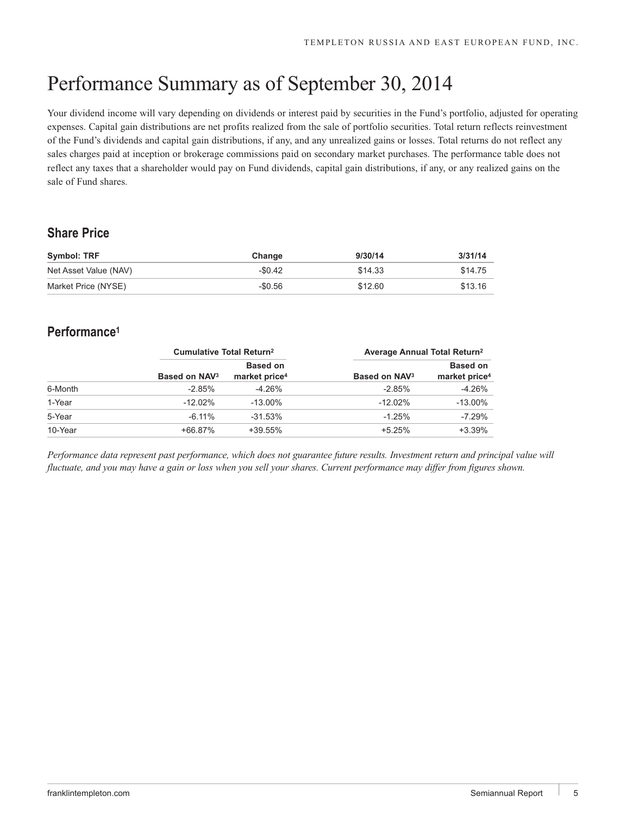# Performance Summary as of September 30, 2014

Your dividend income will vary depending on dividends or interest paid by securities in the Fund's portfolio, adjusted for operating expenses. Capital gain distributions are net profits realized from the sale of portfolio securities. Total return reflects reinvestment of the Fund's dividends and capital gain distributions, if any, and any unrealized gains or losses. Total returns do not reflect any sales charges paid at inception or brokerage commissions paid on secondary market purchases. The performance table does not reflect any taxes that a shareholder would pay on Fund dividends, capital gain distributions, if any, or any realized gains on the sale of Fund shares.

# **Share Price**

| Symbol: TRF           | Change    | 9/30/14 | 3/31/14 |
|-----------------------|-----------|---------|---------|
| Net Asset Value (NAV) | $-$0.42$  | \$14.33 | \$14.75 |
| Market Price (NYSE)   | $-\$0.56$ | \$12.60 | \$13.16 |

# **Performance1**

|         | <b>Cumulative Total Return<sup>2</sup></b> |                           | Average Annual Total Return <sup>2</sup> |                           |
|---------|--------------------------------------------|---------------------------|------------------------------------------|---------------------------|
|         |                                            | <b>Based on</b>           |                                          | <b>Based on</b>           |
|         | Based on NAV <sub>3</sub>                  | market price <sup>4</sup> | Based on NAV <sub>3</sub>                | market price <sup>4</sup> |
| 6-Month | $-2.85%$                                   | $-4.26%$                  | $-2.85%$                                 | $-4.26%$                  |
| 1-Year  | $-12.02%$                                  | $-13.00\%$                | $-12.02%$                                | $-13.00\%$                |
| 5-Year  | $-6.11\%$                                  | $-31.53%$                 | $-1.25%$                                 | $-7.29%$                  |
| 10-Year | +66.87%                                    | $+39.55%$                 | $+5.25%$                                 | $+3.39%$                  |

*Performance data represent past performance, which does not guarantee future results. Investment return and principal value will fluctuate, and you may have a gain or loss when you sell your shares. Current performance may differ from figures shown.*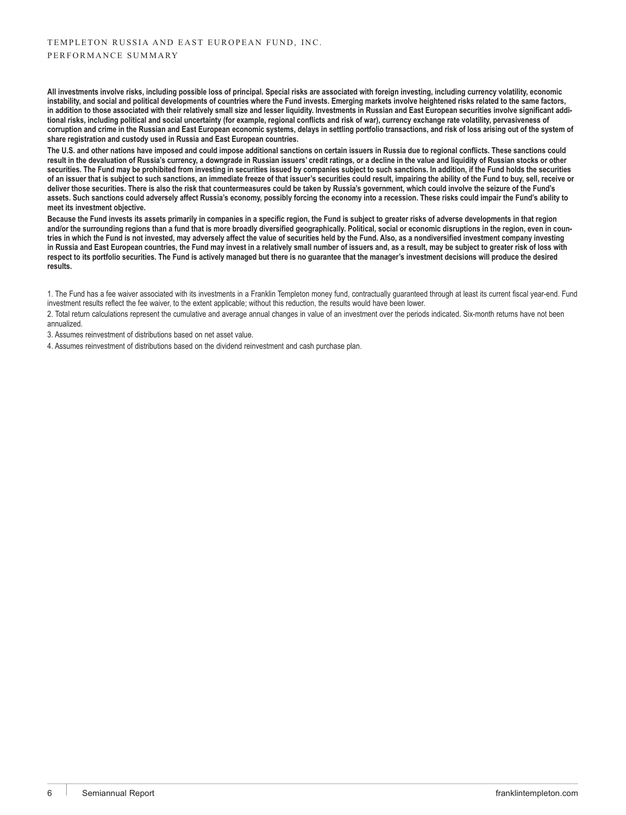**All investments involve risks, including possible loss of principal. Special risks are associated with foreign investing, including currency volatility, economic instability, and social and political developments of countries where the Fund invests. Emerging markets involve heightened risks related to the same factors, in addition to those associated with their relatively small size and lesser liquidity. Investments in Russian and East European securities involve significant additional risks, including political and social uncertainty (for example, regional conflicts and risk of war), currency exchange rate volatility, pervasiveness of corruption and crime in the Russian and East European economic systems, delays in settling portfolio transactions, and risk of loss arising out of the system of share registration and custody used in Russia and East European countries.**

**The U.S. and other nations have imposed and could impose additional sanctions on certain issuers in Russia due to regional conflicts. These sanctions could result in the devaluation of Russia's currency, a downgrade in Russian issuers' credit ratings, or a decline in the value and liquidity of Russian stocks or other securities. The Fund may be prohibited from investing in securities issued by companies subject to such sanctions. In addition, if the Fund holds the securities of an issuer that is subject to such sanctions, an immediate freeze of that issuer's securities could result, impairing the ability of the Fund to buy, sell, receive or deliver those securities. There is also the risk that countermeasures could be taken by Russia's government, which could involve the seizure of the Fund's assets. Such sanctions could adversely affect Russia's economy, possibly forcing the economy into a recession. These risks could impair the Fund's ability to meet its investment objective.**

**Because the Fund invests its assets primarily in companies in a specific region, the Fund is subject to greater risks of adverse developments in that region and/or the surrounding regions than a fund that is more broadly diversified geographically. Political, social or economic disruptions in the region, even in countries in which the Fund is not invested, may adversely affect the value of securities held by the Fund. Also, as a nondiversified investment company investing in Russia and East European countries, the Fund may invest in a relatively small number of issuers and, as a result, may be subject to greater risk of loss with respect to its portfolio securities. The Fund is actively managed but there is no guarantee that the manager's investment decisions will produce the desired results.**

1. The Fund has a fee waiver associated with its investments in a Franklin Templeton money fund, contractually guaranteed through at least its current fiscal year-end. Fund investment results reflect the fee waiver, to the extent applicable; without this reduction, the results would have been lower.

2. Total return calculations represent the cumulative and average annual changes in value of an investment over the periods indicated. Six-month returns have not been annualized.

3. Assumes reinvestment of distributions based on net asset value.

4. Assumes reinvestment of distributions based on the dividend reinvestment and cash purchase plan.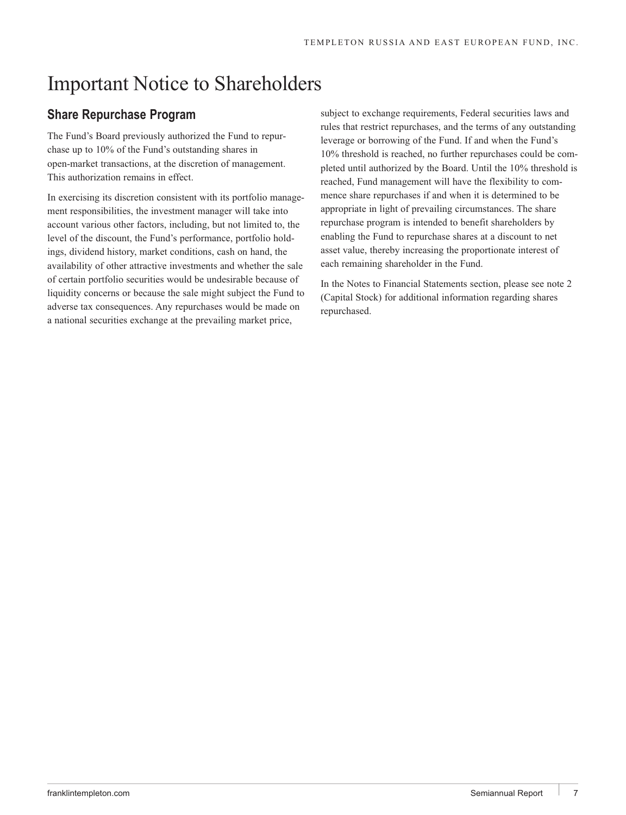# Important Notice to Shareholders

# **Share Repurchase Program**

The Fund's Board previously authorized the Fund to repurchase up to 10% of the Fund's outstanding shares in open-market transactions, at the discretion of management. This authorization remains in effect.

In exercising its discretion consistent with its portfolio management responsibilities, the investment manager will take into account various other factors, including, but not limited to, the level of the discount, the Fund's performance, portfolio holdings, dividend history, market conditions, cash on hand, the availability of other attractive investments and whether the sale of certain portfolio securities would be undesirable because of liquidity concerns or because the sale might subject the Fund to adverse tax consequences. Any repurchases would be made on a national securities exchange at the prevailing market price,

subject to exchange requirements, Federal securities laws and rules that restrict repurchases, and the terms of any outstanding leverage or borrowing of the Fund. If and when the Fund's 10% threshold is reached, no further repurchases could be completed until authorized by the Board. Until the 10% threshold is reached, Fund management will have the flexibility to commence share repurchases if and when it is determined to be appropriate in light of prevailing circumstances. The share repurchase program is intended to benefit shareholders by enabling the Fund to repurchase shares at a discount to net asset value, thereby increasing the proportionate interest of each remaining shareholder in the Fund.

In the Notes to Financial Statements section, please see note 2 (Capital Stock) for additional information regarding shares repurchased.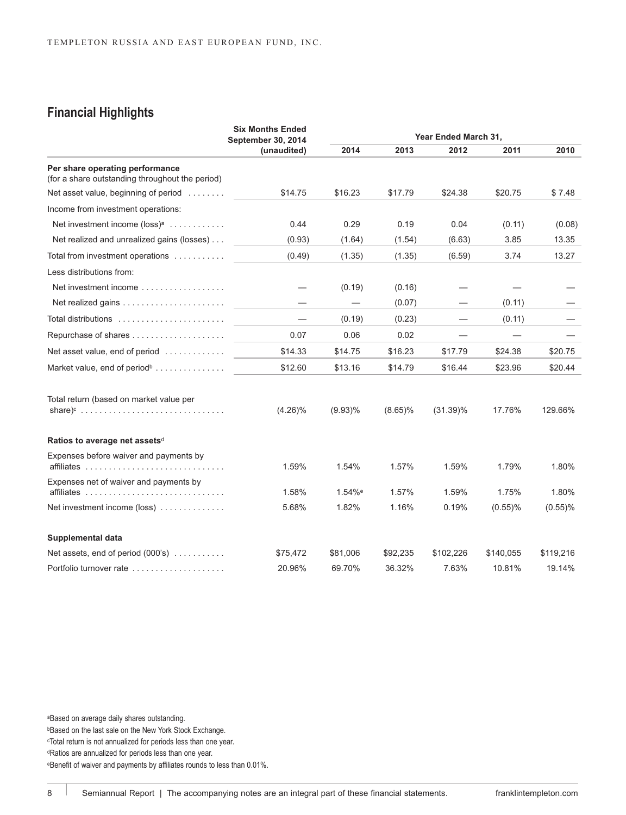# **Financial Highlights**

|                                                                                    | <b>Six Months Ended</b><br><b>September 30, 2014</b> | Year Ended March 31, |            |             |            |            |
|------------------------------------------------------------------------------------|------------------------------------------------------|----------------------|------------|-------------|------------|------------|
|                                                                                    | (unaudited)                                          | 2014                 | 2013       | 2012        | 2011       | 2010       |
| Per share operating performance<br>(for a share outstanding throughout the period) |                                                      |                      |            |             |            |            |
| Net asset value, beginning of period                                               | \$14.75                                              | \$16.23              | \$17.79    | \$24.38     | \$20.75    | \$7.48     |
| Income from investment operations:                                                 |                                                      |                      |            |             |            |            |
| Net investment income (loss) <sup>a</sup>                                          | 0.44                                                 | 0.29                 | 0.19       | 0.04        | (0.11)     | (0.08)     |
| Net realized and unrealized gains (losses)                                         | (0.93)                                               | (1.64)               | (1.54)     | (6.63)      | 3.85       | 13.35      |
| Total from investment operations                                                   | (0.49)                                               | (1.35)               | (1.35)     | (6.59)      | 3.74       | 13.27      |
| Less distributions from:                                                           |                                                      |                      |            |             |            |            |
| Net investment income $\ldots \ldots \ldots \ldots \ldots$                         |                                                      | (0.19)               | (0.16)     |             |            |            |
| Net realized gains $\ldots \ldots \ldots \ldots \ldots \ldots$                     |                                                      | $\qquad \qquad$      | (0.07)     |             | (0.11)     |            |
| Total distributions $\ldots \ldots \ldots \ldots \ldots \ldots \ldots$             | $\overline{\phantom{0}}$                             | (0.19)               | (0.23)     |             | (0.11)     |            |
| Repurchase of shares                                                               | 0.07                                                 | 0.06                 | 0.02       |             |            |            |
| Net asset value, end of period                                                     | \$14.33                                              | \$14.75              | \$16.23    | \$17.79     | \$24.38    | \$20.75    |
| Market value, end of period <sup>b</sup>                                           | \$12.60                                              | \$13.16              | \$14.79    | \$16.44     | \$23.96    | \$20.44    |
| Total return (based on market value per                                            | $(4.26)\%$                                           | $(9.93)\%$           | $(8.65)\%$ | $(31.39)\%$ | 17.76%     | 129.66%    |
| Ratios to average net assets <sup>d</sup>                                          |                                                      |                      |            |             |            |            |
| Expenses before waiver and payments by                                             | 1.59%                                                | 1.54%                | 1.57%      | 1.59%       | 1.79%      | 1.80%      |
| Expenses net of waiver and payments by                                             | 1.58%                                                | 1.54% <sup>e</sup>   | 1.57%      | 1.59%       | 1.75%      | 1.80%      |
| Net investment income (loss)                                                       | 5.68%                                                | 1.82%                | 1.16%      | 0.19%       | $(0.55)$ % | $(0.55)$ % |
| Supplemental data                                                                  |                                                      |                      |            |             |            |            |
| Net assets, end of period (000's)                                                  | \$75,472                                             | \$81,006             | \$92,235   | \$102,226   | \$140,055  | \$119,216  |
| Portfolio turnover rate                                                            | 20.96%                                               | 69.70%               | 36.32%     | 7.63%       | 10.81%     | 19.14%     |

aBased on average daily shares outstanding. **bBased on the last sale on the New York Stock Exchange.** cTotal return is not annualized for periods less than one year. dRatios are annualized for periods less than one year. eBenefit of waiver and payments by affiliates rounds to less than 0.01%.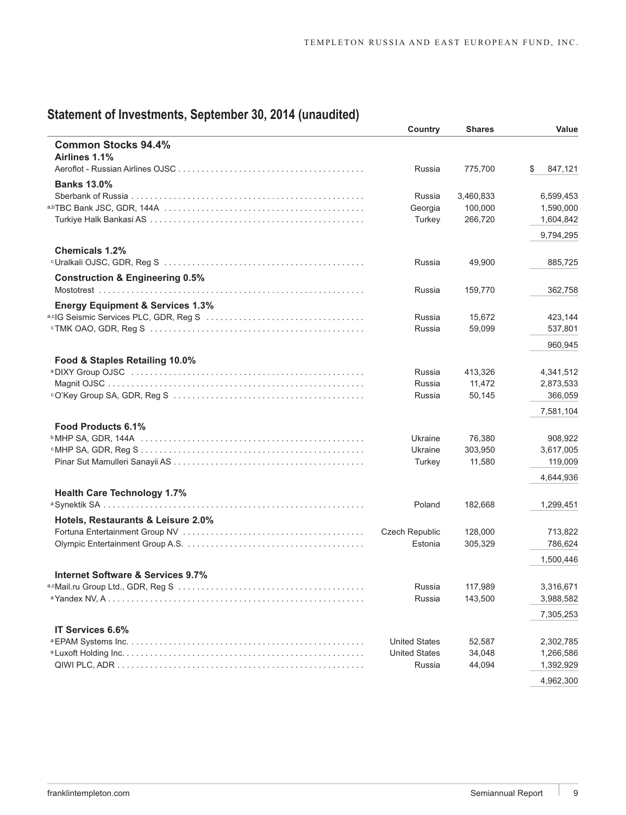# **Statement of Investments, September 30, 2014 (unaudited)**

|                                             | Country               | <b>Shares</b>        | Value                  |
|---------------------------------------------|-----------------------|----------------------|------------------------|
| <b>Common Stocks 94.4%</b><br>Airlines 1.1% |                       |                      |                        |
| <b>Banks 13.0%</b>                          | Russia                | 775,700              | \$<br>847,121          |
|                                             |                       |                      |                        |
|                                             | Russia<br>Georgia     | 3,460,833<br>100,000 | 6,599,453              |
|                                             | Turkey                | 266,720              | 1,590,000<br>1,604,842 |
|                                             |                       |                      | 9,794,295              |
| <b>Chemicals 1.2%</b>                       |                       |                      |                        |
|                                             | Russia                | 49,900               | 885,725                |
| <b>Construction &amp; Engineering 0.5%</b>  |                       |                      |                        |
|                                             | Russia                | 159,770              | 362,758                |
| <b>Energy Equipment &amp; Services 1.3%</b> |                       |                      |                        |
|                                             | Russia                | 15,672               | 423,144                |
|                                             | Russia                | 59,099               | 537,801                |
|                                             |                       |                      | 960,945                |
| Food & Staples Retailing 10.0%              |                       |                      |                        |
|                                             | Russia                | 413,326              | 4,341,512              |
|                                             | Russia                | 11,472               | 2,873,533              |
|                                             | Russia                | 50,145               | 366,059                |
|                                             |                       |                      | 7,581,104              |
| Food Products 6.1%                          |                       |                      |                        |
|                                             | Ukraine               | 76,380               | 908,922                |
|                                             | Ukraine               | 303,950              | 3,617,005              |
|                                             | Turkey                | 11,580               | 119,009                |
|                                             |                       |                      | 4,644,936              |
| <b>Health Care Technology 1.7%</b>          |                       |                      |                        |
|                                             | Poland                | 182,668              | 1,299,451              |
| Hotels, Restaurants & Leisure 2.0%          |                       |                      |                        |
|                                             | <b>Czech Republic</b> | 128,000              | 713,822                |
|                                             | Estonia               | 305,329              | 786,624                |
|                                             |                       |                      | 1,500,446              |
| Internet Software & Services 9.7%           |                       |                      |                        |
|                                             | Russia                | 117,989              | 3,316,671              |
| <sup>a</sup> Yandex NV, A                   | Russia                | 143,500              | 3,988,582              |
|                                             |                       |                      | 7,305,253              |
| IT Services 6.6%                            |                       |                      |                        |
|                                             | <b>United States</b>  | 52,587               | 2,302,785              |
|                                             | <b>United States</b>  | 34,048               | 1,266,586              |
|                                             | Russia                | 44,094               | 1,392,929              |
|                                             |                       |                      | 4,962,300              |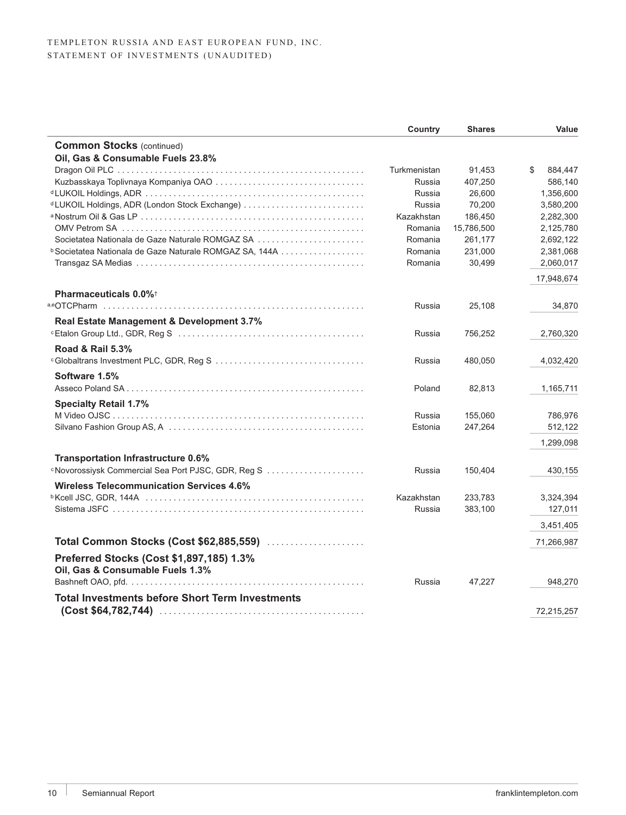|                                                                              | <b>Country</b> | <b>Shares</b> | Value         |
|------------------------------------------------------------------------------|----------------|---------------|---------------|
| <b>Common Stocks (continued)</b>                                             |                |               |               |
| Oil, Gas & Consumable Fuels 23.8%                                            |                |               |               |
|                                                                              | Turkmenistan   | 91,453        | \$<br>884,447 |
|                                                                              | Russia         | 407,250       | 586,140       |
|                                                                              | Russia         | 26,600        | 1,356,600     |
|                                                                              | Russia         | 70,200        | 3,580,200     |
|                                                                              | Kazakhstan     | 186,450       | 2,282,300     |
|                                                                              | Romania        | 15,786,500    | 2,125,780     |
| Societatea Nationala de Gaze Naturale ROMGAZ SA                              | Romania        | 261,177       | 2,692,122     |
| <b>b</b> Societatea Nationala de Gaze Naturale ROMGAZ SA, 144A               | Romania        | 231,000       | 2,381,068     |
|                                                                              | Romania        | 30,499        | 2,060,017     |
|                                                                              |                |               | 17,948,674    |
| <b>Pharmaceuticals 0.0%</b> <sup>+</sup>                                     |                |               |               |
|                                                                              | Russia         | 25,108        | 34,870        |
| Real Estate Management & Development 3.7%                                    |                |               |               |
|                                                                              | Russia         | 756,252       | 2,760,320     |
| <b>Road &amp; Rail 5.3%</b>                                                  |                |               |               |
|                                                                              | Russia         | 480,050       | 4,032,420     |
| Software 1.5%                                                                |                |               |               |
|                                                                              | Poland         | 82,813        | 1,165,711     |
| <b>Specialty Retail 1.7%</b>                                                 |                |               |               |
|                                                                              | Russia         | 155,060       | 786,976       |
|                                                                              | Estonia        | 247,264       | 512,122       |
|                                                                              |                |               | 1,299,098     |
|                                                                              |                |               |               |
| <b>Transportation Infrastructure 0.6%</b>                                    |                |               |               |
|                                                                              | Russia         | 150,404       | 430,155       |
| <b>Wireless Telecommunication Services 4.6%</b>                              |                |               |               |
|                                                                              | Kazakhstan     | 233,783       | 3,324,394     |
|                                                                              | Russia         | 383,100       | 127,011       |
|                                                                              |                |               | 3,451,405     |
| Total Common Stocks (Cost \$62,885,559)                                      |                |               | 71,266,987    |
| Preferred Stocks (Cost \$1,897,185) 1.3%<br>Oil, Gas & Consumable Fuels 1.3% |                |               |               |
|                                                                              | Russia         | 47,227        | 948,270       |
|                                                                              |                |               |               |
| <b>Total Investments before Short Term Investments</b>                       |                |               |               |
|                                                                              |                |               | 72,215,257    |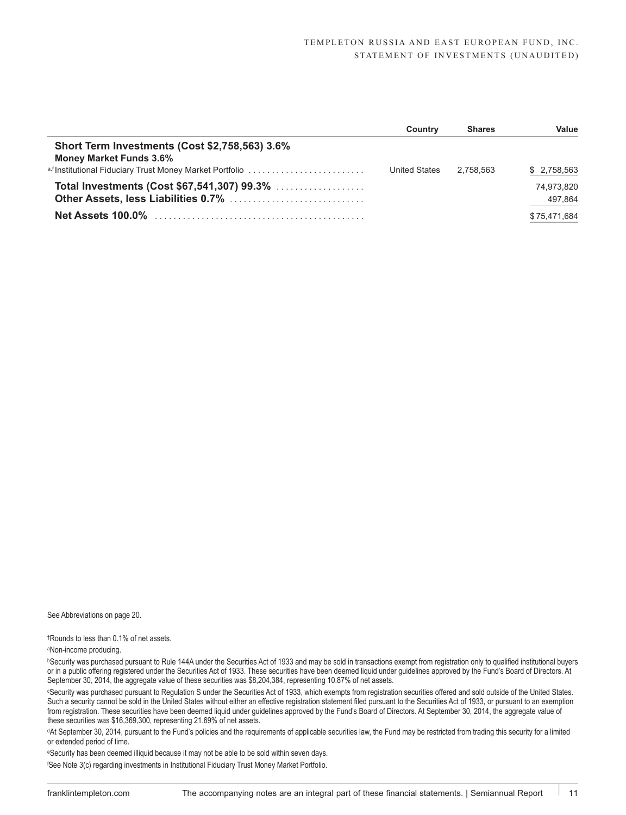#### TEMPLETON RUSSIA AND EAST EUROPEAN FUND, INC. STATEMENT OF INVESTMENTS (UNAUDITED)

|                                                           | Country       | <b>Shares</b> | Value        |
|-----------------------------------------------------------|---------------|---------------|--------------|
| Short Term Investments (Cost \$2,758,563) 3.6%            |               |               |              |
| <b>Money Market Funds 3.6%</b>                            |               |               |              |
| a, f Institutional Fiduciary Trust Money Market Portfolio | United States | 2.758.563     | \$2,758,563  |
| Total Investments (Cost \$67,541,307) 99.3%               |               |               | 74.973.820   |
|                                                           |               |               | 497,864      |
| <b>Net Assets 100.0%</b>                                  |               |               | \$75,471,684 |

See Abbreviations on page 20.

†Rounds to less than 0.1% of net assets.

aNon-income producing.

**bSecurity was purchased pursuant to Rule 144A under the Securities Act of 1933 and may be sold in transactions exempt from registration only to qualified institutional buyers** or in a public offering registered under the Securities Act of 1933. These securities have been deemed liquid under guidelines approved by the Fund's Board of Directors. At September 30, 2014, the aggregate value of these securities was \$8,204,384, representing 10.87% of net assets.

cSecurity was purchased pursuant to Regulation S under the Securities Act of 1933, which exempts from registration securities offered and sold outside of the United States. Such a security cannot be sold in the United States without either an effective registration statement filed pursuant to the Securities Act of 1933, or pursuant to an exemption from registration. These securities have been deemed liquid under guidelines approved by the Fund's Board of Directors. At September 30, 2014, the aggregate value of these securities was \$16,369,300, representing 21.69% of net assets.

dAt September 30, 2014, pursuant to the Fund's policies and the requirements of applicable securities law, the Fund may be restricted from trading this security for a limited or extended period of time.

eSecurity has been deemed illiquid because it may not be able to be sold within seven days.

f See Note 3(c) regarding investments in Institutional Fiduciary Trust Money Market Portfolio.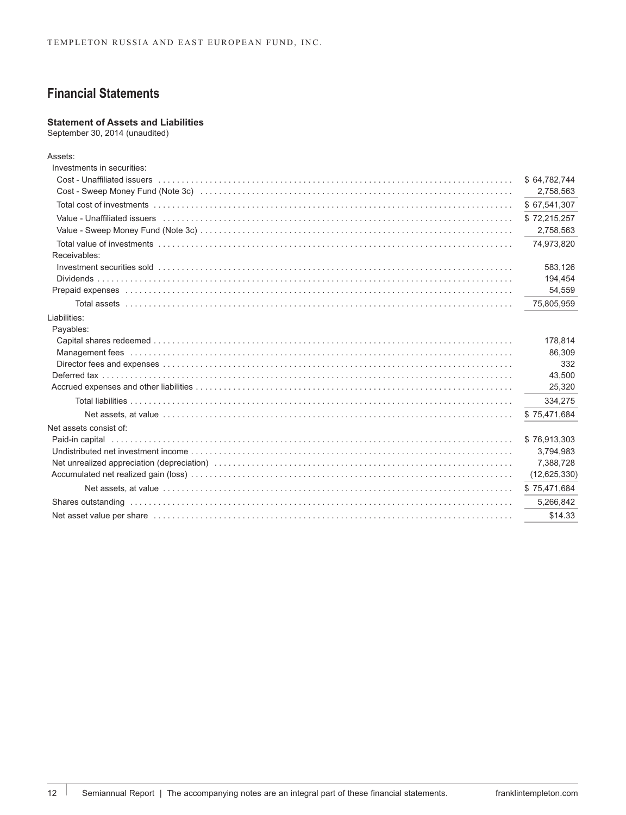# **Financial Statements**

## **Statement of Assets and Liabilities**

September 30, 2014 (unaudited)

| Assets:                                                                                                                                                                                                                        |                |
|--------------------------------------------------------------------------------------------------------------------------------------------------------------------------------------------------------------------------------|----------------|
| Investments in securities:                                                                                                                                                                                                     |                |
| Cost - Unaffiliated issuers with a contract the contract of the cost of the cost of the cost - Unaffiliated issuers with contract the cost of the cost of the cost of the cost of the cost of the cost of the cost of the cost | \$64,782,744   |
|                                                                                                                                                                                                                                | 2,758,563      |
|                                                                                                                                                                                                                                | \$67,541,307   |
| Value - Unaffiliated issuers (all contained all contained and contained all contained assumption of the state of the state of the state of the state of the state of the state of the state of the state of the state of the s | \$72,215,257   |
|                                                                                                                                                                                                                                | 2,758,563      |
|                                                                                                                                                                                                                                | 74,973,820     |
| Receivables:                                                                                                                                                                                                                   |                |
|                                                                                                                                                                                                                                | 583,126        |
|                                                                                                                                                                                                                                | 194,454        |
|                                                                                                                                                                                                                                | 54,559         |
|                                                                                                                                                                                                                                | 75,805,959     |
| Liabilities:                                                                                                                                                                                                                   |                |
| Payables:                                                                                                                                                                                                                      |                |
|                                                                                                                                                                                                                                | 178,814        |
| Management fees recommendational control of the Management Control of the Management fees recommendation of the                                                                                                                | 86,309         |
|                                                                                                                                                                                                                                | 332            |
|                                                                                                                                                                                                                                | 43,500         |
|                                                                                                                                                                                                                                | 25,320         |
|                                                                                                                                                                                                                                | 334,275        |
|                                                                                                                                                                                                                                | \$75,471,684   |
| Net assets consist of:                                                                                                                                                                                                         |                |
|                                                                                                                                                                                                                                | \$76,913,303   |
|                                                                                                                                                                                                                                | 3,794,983      |
|                                                                                                                                                                                                                                | 7,388,728      |
|                                                                                                                                                                                                                                | (12, 625, 330) |
|                                                                                                                                                                                                                                | \$75,471,684   |
|                                                                                                                                                                                                                                | 5,266,842      |
| Net asset value per share encourance in the contract of the state of the state of the state of the state of the                                                                                                                | \$14.33        |
|                                                                                                                                                                                                                                |                |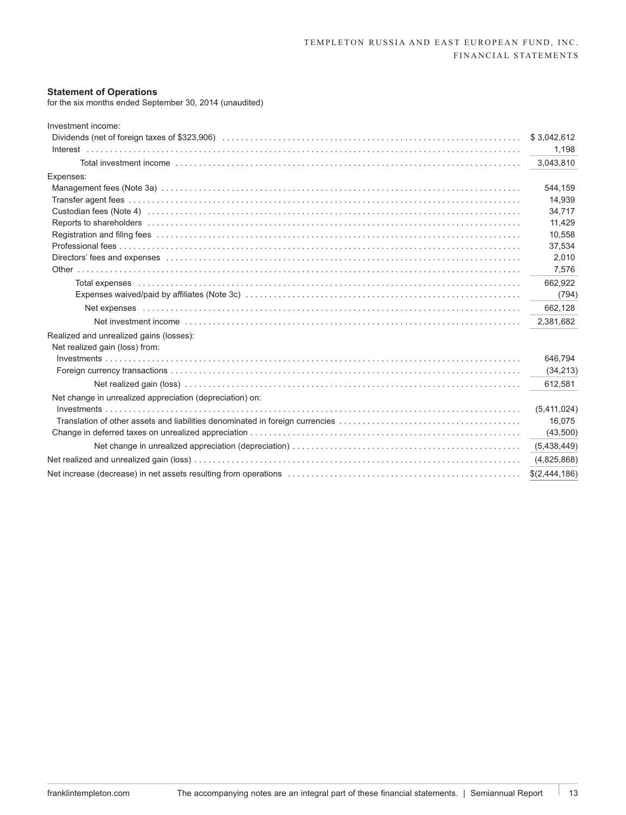#### **Statement of Operations**

for the six months ended September 30, 2014 (unaudited)

| Investment income:                                                                                                                                                                                                             |               |
|--------------------------------------------------------------------------------------------------------------------------------------------------------------------------------------------------------------------------------|---------------|
|                                                                                                                                                                                                                                | \$3,042,612   |
|                                                                                                                                                                                                                                | 1,198         |
|                                                                                                                                                                                                                                | 3,043,810     |
| Expenses:                                                                                                                                                                                                                      |               |
|                                                                                                                                                                                                                                | 544,159       |
|                                                                                                                                                                                                                                | 14,939        |
|                                                                                                                                                                                                                                | 34,717        |
|                                                                                                                                                                                                                                | 11,429        |
| Registration and filing fees with the content of the content of the content of the content of the content of the content of the content of the content of the content of the content of the content of the content of the cont | 10,558        |
|                                                                                                                                                                                                                                | 37,534        |
|                                                                                                                                                                                                                                | 2,010         |
|                                                                                                                                                                                                                                | 7,576         |
| Total expenses international control to the control of the control of the control of the control of the control of the control of the control of the control of the control of the control of the control of the control of th | 662,922       |
|                                                                                                                                                                                                                                | (794)         |
|                                                                                                                                                                                                                                | 662,128       |
|                                                                                                                                                                                                                                | 2,381,682     |
| Realized and unrealized gains (losses):                                                                                                                                                                                        |               |
| Net realized gain (loss) from:                                                                                                                                                                                                 |               |
|                                                                                                                                                                                                                                | 646.794       |
|                                                                                                                                                                                                                                | (34, 213)     |
|                                                                                                                                                                                                                                | 612,581       |
| Net change in unrealized appreciation (depreciation) on:                                                                                                                                                                       |               |
|                                                                                                                                                                                                                                | (5,411,024)   |
|                                                                                                                                                                                                                                | 16,075        |
|                                                                                                                                                                                                                                | (43,500)      |
|                                                                                                                                                                                                                                | (5,438,449)   |
|                                                                                                                                                                                                                                | (4,825,868)   |
|                                                                                                                                                                                                                                | \$(2,444,186) |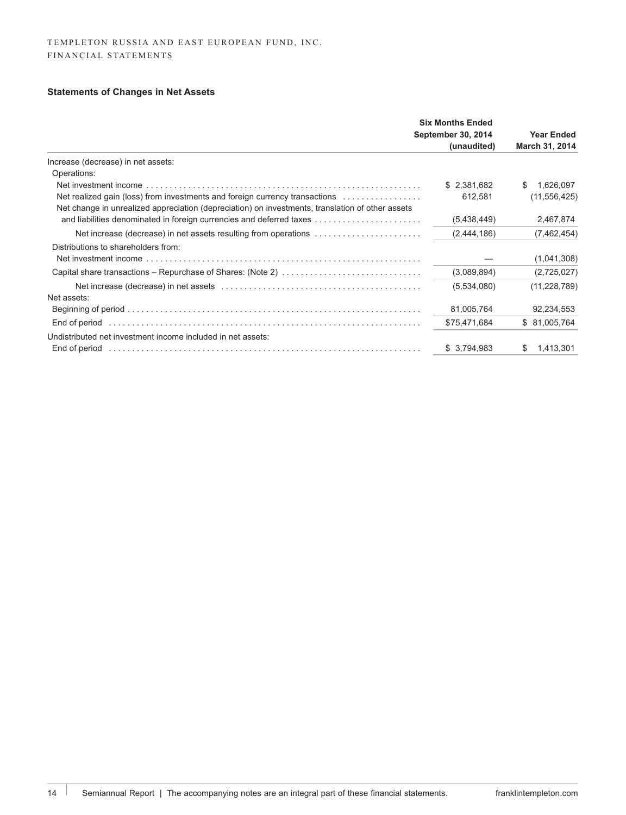# **Statements of Changes in Net Assets**

|                                                                                                  | <b>Six Months Ended</b><br><b>September 30, 2014</b><br>(unaudited) | <b>Year Ended</b><br>March 31, 2014 |
|--------------------------------------------------------------------------------------------------|---------------------------------------------------------------------|-------------------------------------|
| Increase (decrease) in net assets:                                                               |                                                                     |                                     |
| Operations:                                                                                      |                                                                     |                                     |
|                                                                                                  | \$2,381,682                                                         | 1,626,097<br>S.                     |
| Net realized gain (loss) from investments and foreign currency transactions                      | 612,581                                                             | (11, 556, 425)                      |
| Net change in unrealized appreciation (depreciation) on investments, translation of other assets |                                                                     |                                     |
| and liabilities denominated in foreign currencies and deferred taxes                             | (5,438,449)                                                         | 2,467,874                           |
| Net increase (decrease) in net assets resulting from operations                                  | (2,444,186)                                                         | (7,462,454)                         |
| Distributions to shareholders from:                                                              |                                                                     |                                     |
|                                                                                                  |                                                                     | (1,041,308)                         |
| Capital share transactions – Repurchase of Shares: (Note 2)                                      | (3,089,894)                                                         | (2,725,027)                         |
|                                                                                                  | (5,534,080)                                                         | (11, 228, 789)                      |
| Net assets:                                                                                      |                                                                     |                                     |
|                                                                                                  | 81,005,764                                                          | 92,234,553                          |
| End of period                                                                                    | \$75,471,684                                                        | \$ 81,005,764                       |
| Undistributed net investment income included in net assets:                                      |                                                                     |                                     |
| End of period                                                                                    | \$3,794,983                                                         | 1,413,301<br>S.                     |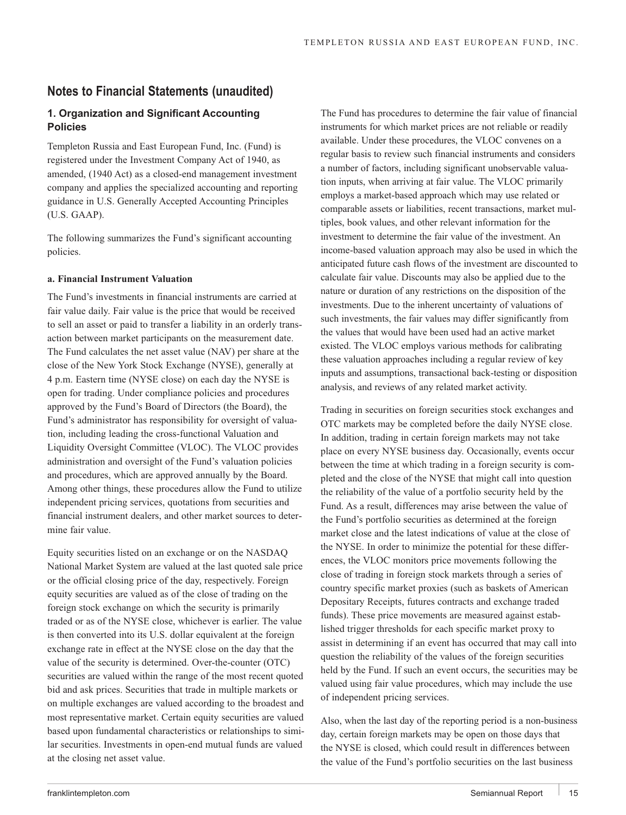# **Notes to Financial Statements (unaudited)**

## **1. Organization and Significant Accounting Policies**

Templeton Russia and East European Fund, Inc. (Fund) is registered under the Investment Company Act of 1940, as amended, (1940 Act) as a closed-end management investment company and applies the specialized accounting and reporting guidance in U.S. Generally Accepted Accounting Principles (U.S. GAAP).

The following summarizes the Fund's significant accounting policies.

#### **a. Financial Instrument Valuation**

The Fund's investments in financial instruments are carried at fair value daily. Fair value is the price that would be received to sell an asset or paid to transfer a liability in an orderly transaction between market participants on the measurement date. The Fund calculates the net asset value (NAV) per share at the close of the New York Stock Exchange (NYSE), generally at 4 p.m. Eastern time (NYSE close) on each day the NYSE is open for trading. Under compliance policies and procedures approved by the Fund's Board of Directors (the Board), the Fund's administrator has responsibility for oversight of valuation, including leading the cross-functional Valuation and Liquidity Oversight Committee (VLOC). The VLOC provides administration and oversight of the Fund's valuation policies and procedures, which are approved annually by the Board. Among other things, these procedures allow the Fund to utilize independent pricing services, quotations from securities and financial instrument dealers, and other market sources to determine fair value.

Equity securities listed on an exchange or on the NASDAQ National Market System are valued at the last quoted sale price or the official closing price of the day, respectively. Foreign equity securities are valued as of the close of trading on the foreign stock exchange on which the security is primarily traded or as of the NYSE close, whichever is earlier. The value is then converted into its U.S. dollar equivalent at the foreign exchange rate in effect at the NYSE close on the day that the value of the security is determined. Over-the-counter (OTC) securities are valued within the range of the most recent quoted bid and ask prices. Securities that trade in multiple markets or on multiple exchanges are valued according to the broadest and most representative market. Certain equity securities are valued based upon fundamental characteristics or relationships to similar securities. Investments in open-end mutual funds are valued at the closing net asset value.

The Fund has procedures to determine the fair value of financial instruments for which market prices are not reliable or readily available. Under these procedures, the VLOC convenes on a regular basis to review such financial instruments and considers a number of factors, including significant unobservable valuation inputs, when arriving at fair value. The VLOC primarily employs a market-based approach which may use related or comparable assets or liabilities, recent transactions, market multiples, book values, and other relevant information for the investment to determine the fair value of the investment. An income-based valuation approach may also be used in which the anticipated future cash flows of the investment are discounted to calculate fair value. Discounts may also be applied due to the nature or duration of any restrictions on the disposition of the investments. Due to the inherent uncertainty of valuations of such investments, the fair values may differ significantly from the values that would have been used had an active market existed. The VLOC employs various methods for calibrating these valuation approaches including a regular review of key inputs and assumptions, transactional back-testing or disposition analysis, and reviews of any related market activity.

Trading in securities on foreign securities stock exchanges and OTC markets may be completed before the daily NYSE close. In addition, trading in certain foreign markets may not take place on every NYSE business day. Occasionally, events occur between the time at which trading in a foreign security is completed and the close of the NYSE that might call into question the reliability of the value of a portfolio security held by the Fund. As a result, differences may arise between the value of the Fund's portfolio securities as determined at the foreign market close and the latest indications of value at the close of the NYSE. In order to minimize the potential for these differences, the VLOC monitors price movements following the close of trading in foreign stock markets through a series of country specific market proxies (such as baskets of American Depositary Receipts, futures contracts and exchange traded funds). These price movements are measured against established trigger thresholds for each specific market proxy to assist in determining if an event has occurred that may call into question the reliability of the values of the foreign securities held by the Fund. If such an event occurs, the securities may be valued using fair value procedures, which may include the use of independent pricing services.

Also, when the last day of the reporting period is a non-business day, certain foreign markets may be open on those days that the NYSE is closed, which could result in differences between the value of the Fund's portfolio securities on the last business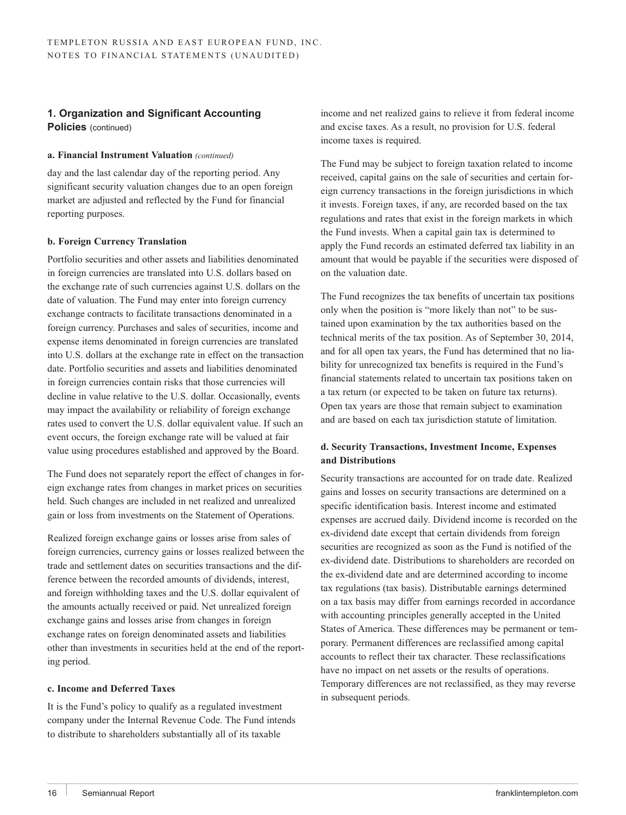## **1. Organization and Significant Accounting**

**Policies** (continued)

## **a. Financial Instrument Valuation** *(continued)*

day and the last calendar day of the reporting period. Any significant security valuation changes due to an open foreign market are adjusted and reflected by the Fund for financial reporting purposes.

## **b. Foreign Currency Translation**

Portfolio securities and other assets and liabilities denominated in foreign currencies are translated into U.S. dollars based on the exchange rate of such currencies against U.S. dollars on the date of valuation. The Fund may enter into foreign currency exchange contracts to facilitate transactions denominated in a foreign currency. Purchases and sales of securities, income and expense items denominated in foreign currencies are translated into U.S. dollars at the exchange rate in effect on the transaction date. Portfolio securities and assets and liabilities denominated in foreign currencies contain risks that those currencies will decline in value relative to the U.S. dollar. Occasionally, events may impact the availability or reliability of foreign exchange rates used to convert the U.S. dollar equivalent value. If such an event occurs, the foreign exchange rate will be valued at fair value using procedures established and approved by the Board.

The Fund does not separately report the effect of changes in foreign exchange rates from changes in market prices on securities held. Such changes are included in net realized and unrealized gain or loss from investments on the Statement of Operations.

Realized foreign exchange gains or losses arise from sales of foreign currencies, currency gains or losses realized between the trade and settlement dates on securities transactions and the difference between the recorded amounts of dividends, interest, and foreign withholding taxes and the U.S. dollar equivalent of the amounts actually received or paid. Net unrealized foreign exchange gains and losses arise from changes in foreign exchange rates on foreign denominated assets and liabilities other than investments in securities held at the end of the reporting period.

## **c. Income and Deferred Taxes**

It is the Fund's policy to qualify as a regulated investment company under the Internal Revenue Code. The Fund intends to distribute to shareholders substantially all of its taxable

income and net realized gains to relieve it from federal income and excise taxes. As a result, no provision for U.S. federal income taxes is required.

The Fund may be subject to foreign taxation related to income received, capital gains on the sale of securities and certain foreign currency transactions in the foreign jurisdictions in which it invests. Foreign taxes, if any, are recorded based on the tax regulations and rates that exist in the foreign markets in which the Fund invests. When a capital gain tax is determined to apply the Fund records an estimated deferred tax liability in an amount that would be payable if the securities were disposed of on the valuation date.

The Fund recognizes the tax benefits of uncertain tax positions only when the position is "more likely than not" to be sustained upon examination by the tax authorities based on the technical merits of the tax position. As of September 30, 2014, and for all open tax years, the Fund has determined that no liability for unrecognized tax benefits is required in the Fund's financial statements related to uncertain tax positions taken on a tax return (or expected to be taken on future tax returns). Open tax years are those that remain subject to examination and are based on each tax jurisdiction statute of limitation.

## **d. Security Transactions, Investment Income, Expenses and Distributions**

Security transactions are accounted for on trade date. Realized gains and losses on security transactions are determined on a specific identification basis. Interest income and estimated expenses are accrued daily. Dividend income is recorded on the ex-dividend date except that certain dividends from foreign securities are recognized as soon as the Fund is notified of the ex-dividend date. Distributions to shareholders are recorded on the ex-dividend date and are determined according to income tax regulations (tax basis). Distributable earnings determined on a tax basis may differ from earnings recorded in accordance with accounting principles generally accepted in the United States of America. These differences may be permanent or temporary. Permanent differences are reclassified among capital accounts to reflect their tax character. These reclassifications have no impact on net assets or the results of operations. Temporary differences are not reclassified, as they may reverse in subsequent periods.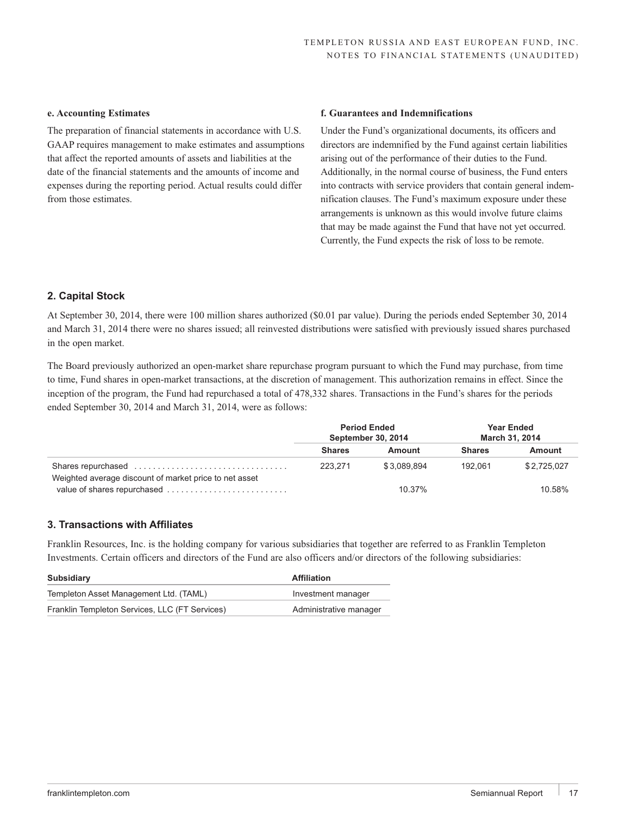## **e. Accounting Estimates**

The preparation of financial statements in accordance with U.S. GAAP requires management to make estimates and assumptions that affect the reported amounts of assets and liabilities at the date of the financial statements and the amounts of income and expenses during the reporting period. Actual results could differ from those estimates.

### **f. Guarantees and Indemnifications**

Under the Fund's organizational documents, its officers and directors are indemnified by the Fund against certain liabilities arising out of the performance of their duties to the Fund. Additionally, in the normal course of business, the Fund enters into contracts with service providers that contain general indemnification clauses. The Fund's maximum exposure under these arrangements is unknown as this would involve future claims that may be made against the Fund that have not yet occurred. Currently, the Fund expects the risk of loss to be remote.

## **2. Capital Stock**

At September 30, 2014, there were 100 million shares authorized (\$0.01 par value). During the periods ended September 30, 2014 and March 31, 2014 there were no shares issued; all reinvested distributions were satisfied with previously issued shares purchased in the open market.

The Board previously authorized an open-market share repurchase program pursuant to which the Fund may purchase, from time to time, Fund shares in open-market transactions, at the discretion of management. This authorization remains in effect. Since the inception of the program, the Fund had repurchased a total of 478,332 shares. Transactions in the Fund's shares for the periods ended September 30, 2014 and March 31, 2014, were as follows:

|                                                        | <b>Period Ended</b><br>September 30, 2014 |             | <b>Year Ended</b><br><b>March 31, 2014</b> |             |
|--------------------------------------------------------|-------------------------------------------|-------------|--------------------------------------------|-------------|
|                                                        | <b>Shares</b>                             | Amount      | <b>Shares</b>                              | Amount      |
| Shares repurchased                                     | 223.271                                   | \$3.089.894 | 192.061                                    | \$2.725.027 |
| Weighted average discount of market price to net asset |                                           | 10.37%      |                                            | 10.58%      |

## **3. Transactions with Affiliates**

Franklin Resources, Inc. is the holding company for various subsidiaries that together are referred to as Franklin Templeton Investments. Certain officers and directors of the Fund are also officers and/or directors of the following subsidiaries:

| Subsidiary                                     | <b>Affiliation</b>     |
|------------------------------------------------|------------------------|
| Templeton Asset Management Ltd. (TAML)         | Investment manager     |
| Franklin Templeton Services, LLC (FT Services) | Administrative manager |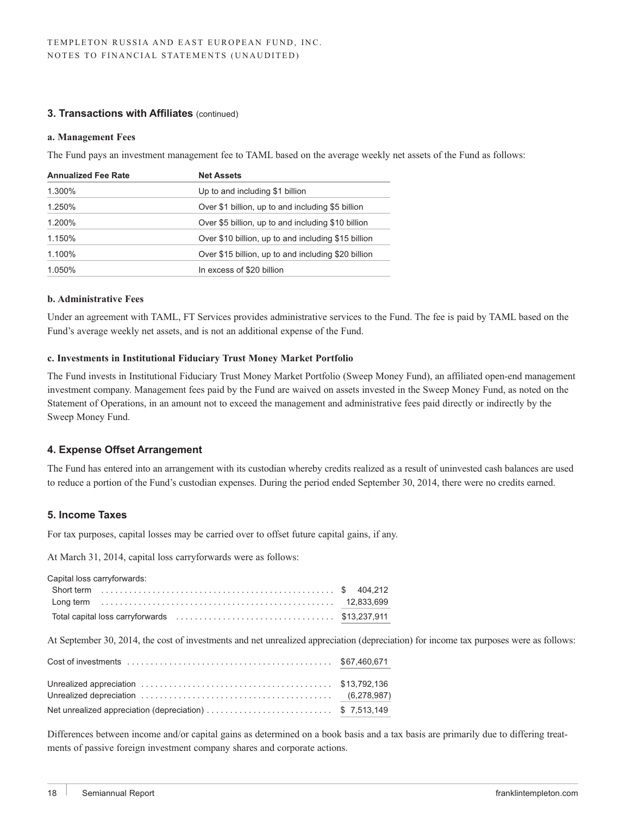## **3. Transactions with Affiliates** (continued)

#### **a. Management Fees**

The Fund pays an investment management fee to TAML based on the average weekly net assets of the Fund as follows:

| <b>Net Assets</b>                                   |
|-----------------------------------------------------|
| Up to and including \$1 billion                     |
| Over \$1 billion, up to and including \$5 billion   |
| Over \$5 billion, up to and including \$10 billion  |
| Over \$10 billion, up to and including \$15 billion |
| Over \$15 billion, up to and including \$20 billion |
| In excess of \$20 billion                           |
|                                                     |

#### **b. Administrative Fees**

Under an agreement with TAML, FT Services provides administrative services to the Fund. The fee is paid by TAML based on the Fund's average weekly net assets, and is not an additional expense of the Fund.

#### **c. Investments in Institutional Fiduciary Trust Money Market Portfolio**

The Fund invests in Institutional Fiduciary Trust Money Market Portfolio (Sweep Money Fund), an affiliated open-end management investment company. Management fees paid by the Fund are waived on assets invested in the Sweep Money Fund, as noted on the Statement of Operations, in an amount not to exceed the management and administrative fees paid directly or indirectly by the Sweep Money Fund.

## **4. Expense Offset Arrangement**

The Fund has entered into an arrangement with its custodian whereby credits realized as a result of uninvested cash balances are used to reduce a portion of the Fund's custodian expenses. During the period ended September 30, 2014, there were no credits earned.

### **5. Income Taxes**

For tax purposes, capital losses may be carried over to offset future capital gains, if any.

At March 31, 2014, capital loss carryforwards were as follows:

| Capital loss carryforwards: |  |
|-----------------------------|--|
|                             |  |
|                             |  |
|                             |  |

At September 30, 2014, the cost of investments and net unrealized appreciation (depreciation) for income tax purposes were as follows:

| Net unrealized appreciation (depreciation) \$ 7,513,149 |  |
|---------------------------------------------------------|--|

Differences between income and/or capital gains as determined on a book basis and a tax basis are primarily due to differing treatments of passive foreign investment company shares and corporate actions.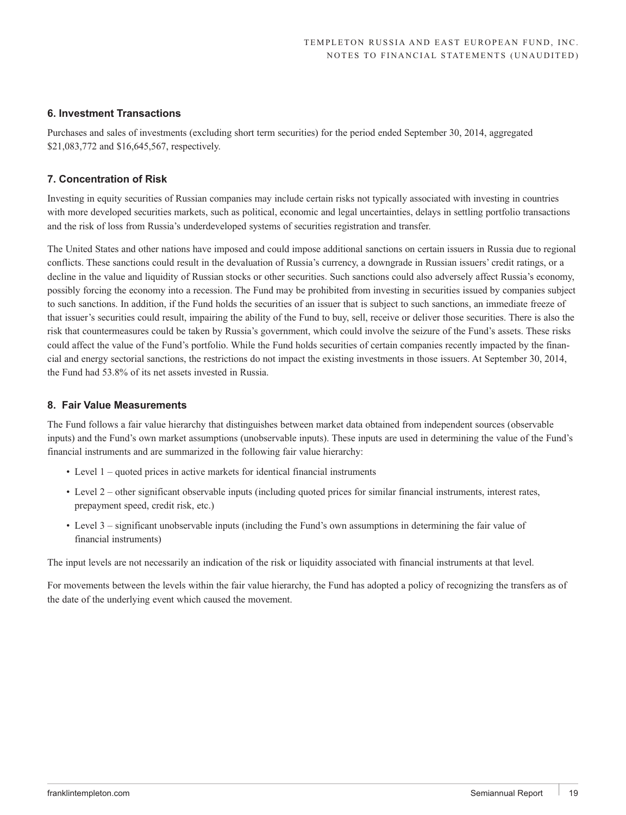## **6. Investment Transactions**

Purchases and sales of investments (excluding short term securities) for the period ended September 30, 2014, aggregated \$21,083,772 and \$16,645,567, respectively.

## **7. Concentration of Risk**

Investing in equity securities of Russian companies may include certain risks not typically associated with investing in countries with more developed securities markets, such as political, economic and legal uncertainties, delays in settling portfolio transactions and the risk of loss from Russia's underdeveloped systems of securities registration and transfer.

The United States and other nations have imposed and could impose additional sanctions on certain issuers in Russia due to regional conflicts. These sanctions could result in the devaluation of Russia's currency, a downgrade in Russian issuers' credit ratings, or a decline in the value and liquidity of Russian stocks or other securities. Such sanctions could also adversely affect Russia's economy, possibly forcing the economy into a recession. The Fund may be prohibited from investing in securities issued by companies subject to such sanctions. In addition, if the Fund holds the securities of an issuer that is subject to such sanctions, an immediate freeze of that issuer's securities could result, impairing the ability of the Fund to buy, sell, receive or deliver those securities. There is also the risk that countermeasures could be taken by Russia's government, which could involve the seizure of the Fund's assets. These risks could affect the value of the Fund's portfolio. While the Fund holds securities of certain companies recently impacted by the financial and energy sectorial sanctions, the restrictions do not impact the existing investments in those issuers. At September 30, 2014, the Fund had 53.8% of its net assets invested in Russia.

## **8. Fair Value Measurements**

The Fund follows a fair value hierarchy that distinguishes between market data obtained from independent sources (observable inputs) and the Fund's own market assumptions (unobservable inputs). These inputs are used in determining the value of the Fund's financial instruments and are summarized in the following fair value hierarchy:

- Level 1 quoted prices in active markets for identical financial instruments
- Level 2 other significant observable inputs (including quoted prices for similar financial instruments, interest rates, prepayment speed, credit risk, etc.)
- Level 3 significant unobservable inputs (including the Fund's own assumptions in determining the fair value of financial instruments)

The input levels are not necessarily an indication of the risk or liquidity associated with financial instruments at that level.

For movements between the levels within the fair value hierarchy, the Fund has adopted a policy of recognizing the transfers as of the date of the underlying event which caused the movement.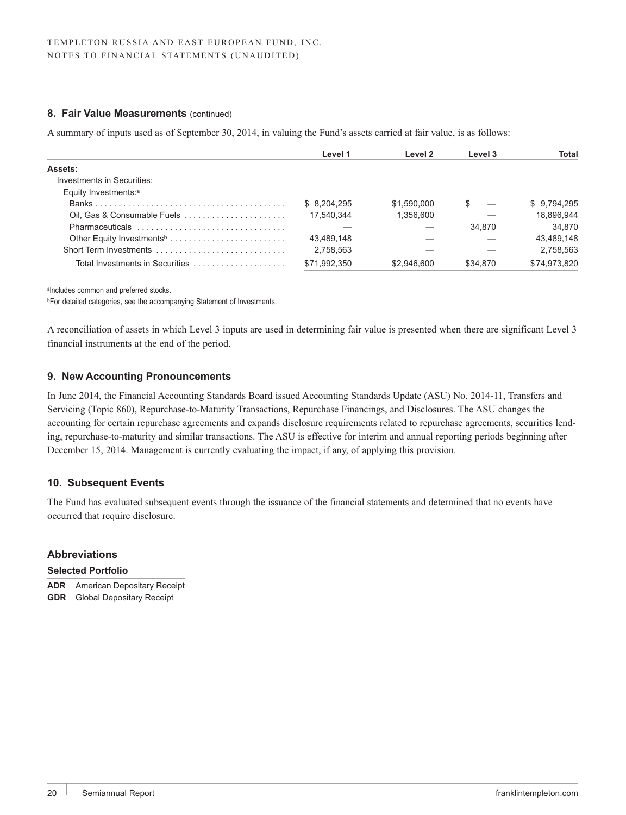### **8. Fair Value Measurements** (continued)

A summary of inputs used as of September 30, 2014, in valuing the Fund's assets carried at fair value, is as follows:

|                                       | Level 1      | Level 2     | Level 3  | Total        |
|---------------------------------------|--------------|-------------|----------|--------------|
| Assets:                               |              |             |          |              |
| Investments in Securities:            |              |             |          |              |
| Equity Investments: <sup>a</sup>      |              |             |          |              |
|                                       | \$8.204.295  | \$1.590.000 |          | \$9,794,295  |
| Oil, Gas & Consumable Fuels           | 17.540.344   | 1,356,600   |          | 18.896.944   |
| Pharmaceuticals                       |              |             | 34.870   | 34.870       |
| Other Equity Investments <sup>b</sup> | 43.489.148   |             |          | 43.489.148   |
| Short Term Investments                | 2,758,563    |             |          | 2,758,563    |
| Total Investments in Securities       | \$71.992.350 | \$2.946.600 | \$34,870 | \$74,973,820 |

alncludes common and preferred stocks.

**bFor detailed categories, see the accompanying Statement of Investments.** 

A reconciliation of assets in which Level 3 inputs are used in determining fair value is presented when there are significant Level 3 financial instruments at the end of the period.

## **9. New Accounting Pronouncements**

In June 2014, the Financial Accounting Standards Board issued Accounting Standards Update (ASU) No. 2014-11, Transfers and Servicing (Topic 860), Repurchase-to-Maturity Transactions, Repurchase Financings, and Disclosures. The ASU changes the accounting for certain repurchase agreements and expands disclosure requirements related to repurchase agreements, securities lending, repurchase-to-maturity and similar transactions. The ASU is effective for interim and annual reporting periods beginning after December 15, 2014. Management is currently evaluating the impact, if any, of applying this provision.

## **10. Subsequent Events**

The Fund has evaluated subsequent events through the issuance of the financial statements and determined that no events have occurred that require disclosure.

#### **Abbreviations**

#### **Selected Portfolio**

**ADR** American Depositary Receipt **GDR** Global Depositary Receipt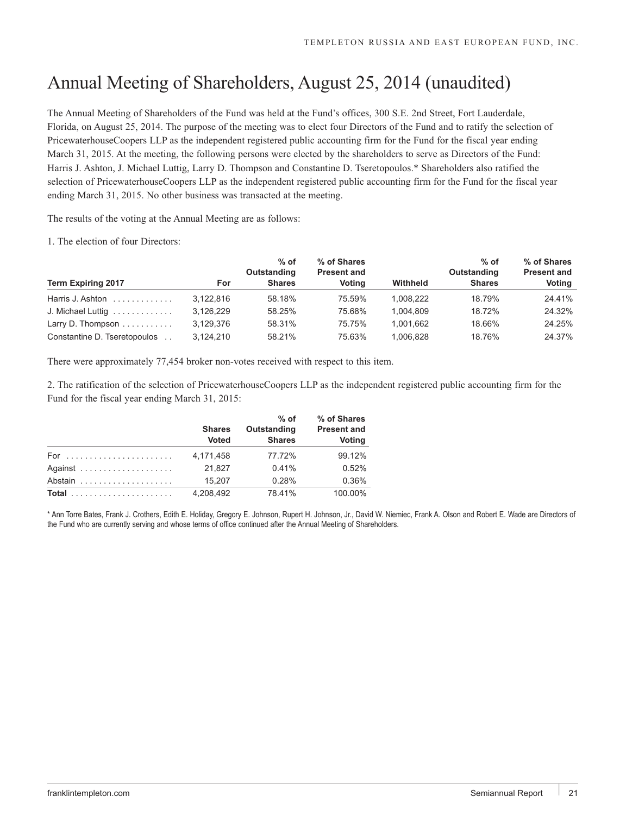# Annual Meeting of Shareholders, August 25, 2014 (unaudited)

The Annual Meeting of Shareholders of the Fund was held at the Fund's offices, 300 S.E. 2nd Street, Fort Lauderdale, Florida, on August 25, 2014. The purpose of the meeting was to elect four Directors of the Fund and to ratify the selection of PricewaterhouseCoopers LLP as the independent registered public accounting firm for the Fund for the fiscal year ending March 31, 2015. At the meeting, the following persons were elected by the shareholders to serve as Directors of the Fund: Harris J. Ashton, J. Michael Luttig, Larry D. Thompson and Constantine D. Tseretopoulos.\* Shareholders also ratified the selection of PricewaterhouseCoopers LLP as the independent registered public accounting firm for the Fund for the fiscal year ending March 31, 2015. No other business was transacted at the meeting.

The results of the voting at the Annual Meeting are as follows:

1. The election of four Directors:

| <b>Term Expiring 2017</b>                | For       | $%$ of<br>Outstanding<br><b>Shares</b> | % of Shares<br><b>Present and</b><br>Votina | Withheld  | $%$ of<br>Outstanding<br><b>Shares</b> | % of Shares<br><b>Present and</b><br>Voting |
|------------------------------------------|-----------|----------------------------------------|---------------------------------------------|-----------|----------------------------------------|---------------------------------------------|
| Harris J. Ashton $\ldots \ldots \ldots$  | 3.122.816 | 58.18%                                 | 75.59%                                      | 1.008.222 | 18.79%                                 | 24.41%                                      |
| J. Michael Luttig                        | 3.126.229 | 58.25%                                 | 75.68%                                      | 1.004.809 | 18.72%                                 | 24.32%                                      |
| Larry D. Thompson $\ldots \ldots \ldots$ | 3.129.376 | 58.31%                                 | 75.75%                                      | 1.001.662 | 18.66%                                 | 24.25%                                      |
| Constantine D. Tseretopoulos             | 3.124.210 | 58.21%                                 | 75.63%                                      | 1.006.828 | 18.76%                                 | 24.37%                                      |

There were approximately 77,454 broker non-votes received with respect to this item.

2. The ratification of the selection of PricewaterhouseCoopers LLP as the independent registered public accounting firm for the Fund for the fiscal year ending March 31, 2015:

|       | <b>Shares</b><br><b>Voted</b> | $%$ of<br>Outstanding<br><b>Shares</b> | % of Shares<br><b>Present and</b><br>Voting |
|-------|-------------------------------|----------------------------------------|---------------------------------------------|
|       | 4,171,458                     | 77.72%                                 | 99.12%                                      |
|       | 21.827                        | 0.41%                                  | 0.52%                                       |
|       | 15.207                        | 0.28%                                  | 0.36%                                       |
| Total | 4.208.492                     | 78.41%                                 | 100.00%                                     |

\* Ann Torre Bates, Frank J. Crothers, Edith E. Holiday, Gregory E. Johnson, Rupert H. Johnson, Jr., David W. Niemiec, Frank A. Olson and Robert E. Wade are Directors of the Fund who are currently serving and whose terms of office continued after the Annual Meeting of Shareholders.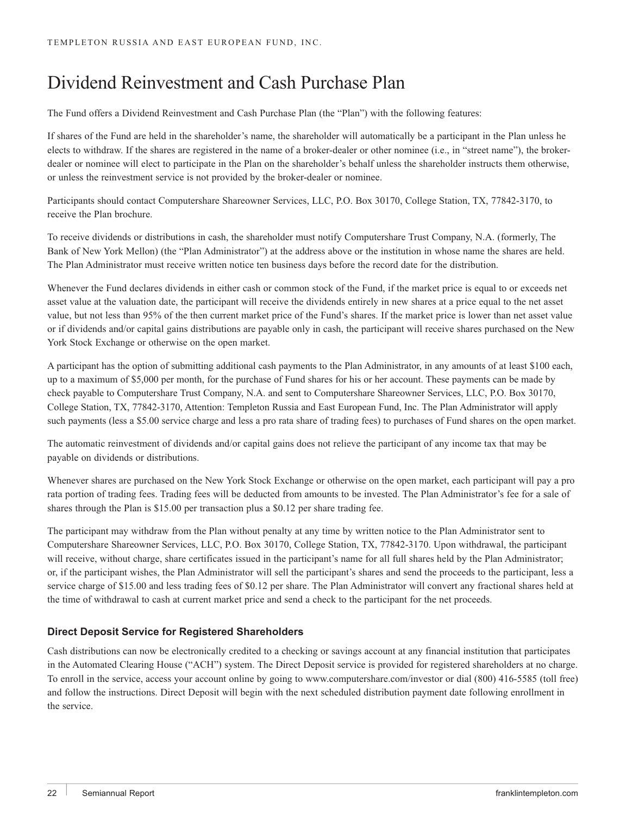# Dividend Reinvestment and Cash Purchase Plan

The Fund offers a Dividend Reinvestment and Cash Purchase Plan (the "Plan") with the following features:

If shares of the Fund are held in the shareholder's name, the shareholder will automatically be a participant in the Plan unless he elects to withdraw. If the shares are registered in the name of a broker-dealer or other nominee (i.e., in "street name"), the brokerdealer or nominee will elect to participate in the Plan on the shareholder's behalf unless the shareholder instructs them otherwise, or unless the reinvestment service is not provided by the broker-dealer or nominee.

Participants should contact Computershare Shareowner Services, LLC, P.O. Box 30170, College Station, TX, 77842-3170, to receive the Plan brochure.

To receive dividends or distributions in cash, the shareholder must notify Computershare Trust Company, N.A. (formerly, The Bank of New York Mellon) (the "Plan Administrator") at the address above or the institution in whose name the shares are held. The Plan Administrator must receive written notice ten business days before the record date for the distribution.

Whenever the Fund declares dividends in either cash or common stock of the Fund, if the market price is equal to or exceeds net asset value at the valuation date, the participant will receive the dividends entirely in new shares at a price equal to the net asset value, but not less than 95% of the then current market price of the Fund's shares. If the market price is lower than net asset value or if dividends and/or capital gains distributions are payable only in cash, the participant will receive shares purchased on the New York Stock Exchange or otherwise on the open market.

A participant has the option of submitting additional cash payments to the Plan Administrator, in any amounts of at least \$100 each, up to a maximum of \$5,000 per month, for the purchase of Fund shares for his or her account. These payments can be made by check payable to Computershare Trust Company, N.A. and sent to Computershare Shareowner Services, LLC, P.O. Box 30170, College Station, TX, 77842-3170, Attention: Templeton Russia and East European Fund, Inc. The Plan Administrator will apply such payments (less a \$5.00 service charge and less a pro rata share of trading fees) to purchases of Fund shares on the open market.

The automatic reinvestment of dividends and/or capital gains does not relieve the participant of any income tax that may be payable on dividends or distributions.

Whenever shares are purchased on the New York Stock Exchange or otherwise on the open market, each participant will pay a pro rata portion of trading fees. Trading fees will be deducted from amounts to be invested. The Plan Administrator's fee for a sale of shares through the Plan is \$15.00 per transaction plus a \$0.12 per share trading fee.

The participant may withdraw from the Plan without penalty at any time by written notice to the Plan Administrator sent to Computershare Shareowner Services, LLC, P.O. Box 30170, College Station, TX, 77842-3170. Upon withdrawal, the participant will receive, without charge, share certificates issued in the participant's name for all full shares held by the Plan Administrator; or, if the participant wishes, the Plan Administrator will sell the participant's shares and send the proceeds to the participant, less a service charge of \$15.00 and less trading fees of \$0.12 per share. The Plan Administrator will convert any fractional shares held at the time of withdrawal to cash at current market price and send a check to the participant for the net proceeds.

## **Direct Deposit Service for Registered Shareholders**

Cash distributions can now be electronically credited to a checking or savings account at any financial institution that participates in the Automated Clearing House ("ACH") system. The Direct Deposit service is provided for registered shareholders at no charge. To enroll in the service, access your account online by going to www.computershare.com/investor or dial (800) 416-5585 (toll free) and follow the instructions. Direct Deposit will begin with the next scheduled distribution payment date following enrollment in the service.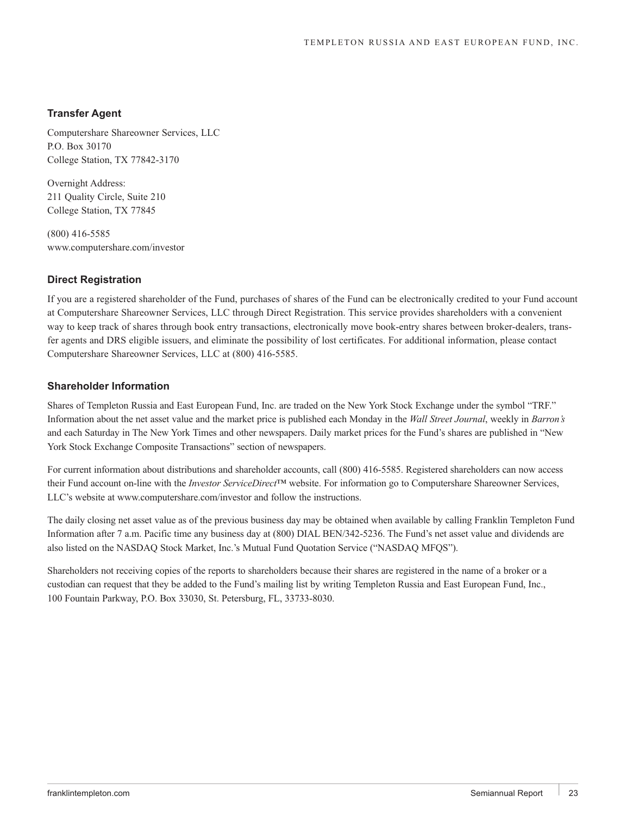## **Transfer Agent**

Computershare Shareowner Services, LLC P.O. Box 30170 College Station, TX 77842-3170

Overnight Address: 211 Quality Circle, Suite 210 College Station, TX 77845

(800) 416-5585 www.computershare.com/investor

## **Direct Registration**

If you are a registered shareholder of the Fund, purchases of shares of the Fund can be electronically credited to your Fund account at Computershare Shareowner Services, LLC through Direct Registration. This service provides shareholders with a convenient way to keep track of shares through book entry transactions, electronically move book-entry shares between broker-dealers, transfer agents and DRS eligible issuers, and eliminate the possibility of lost certificates. For additional information, please contact Computershare Shareowner Services, LLC at (800) 416-5585.

### **Shareholder Information**

Shares of Templeton Russia and East European Fund, Inc. are traded on the New York Stock Exchange under the symbol "TRF." Information about the net asset value and the market price is published each Monday in the *Wall Street Journal*, weekly in *Barron's* and each Saturday in The New York Times and other newspapers. Daily market prices for the Fund's shares are published in "New York Stock Exchange Composite Transactions" section of newspapers.

For current information about distributions and shareholder accounts, call (800) 416-5585. Registered shareholders can now access their Fund account on-line with the *Investor ServiceDirect™* website. For information go to Computershare Shareowner Services, LLC's website at www.computershare.com/investor and follow the instructions.

The daily closing net asset value as of the previous business day may be obtained when available by calling Franklin Templeton Fund Information after 7 a.m. Pacific time any business day at (800) DIAL BEN/342-5236. The Fund's net asset value and dividends are also listed on the NASDAQ Stock Market, Inc.'s Mutual Fund Quotation Service ("NASDAQ MFQS").

Shareholders not receiving copies of the reports to shareholders because their shares are registered in the name of a broker or a custodian can request that they be added to the Fund's mailing list by writing Templeton Russia and East European Fund, Inc., 100 Fountain Parkway, P.O. Box 33030, St. Petersburg, FL, 33733-8030.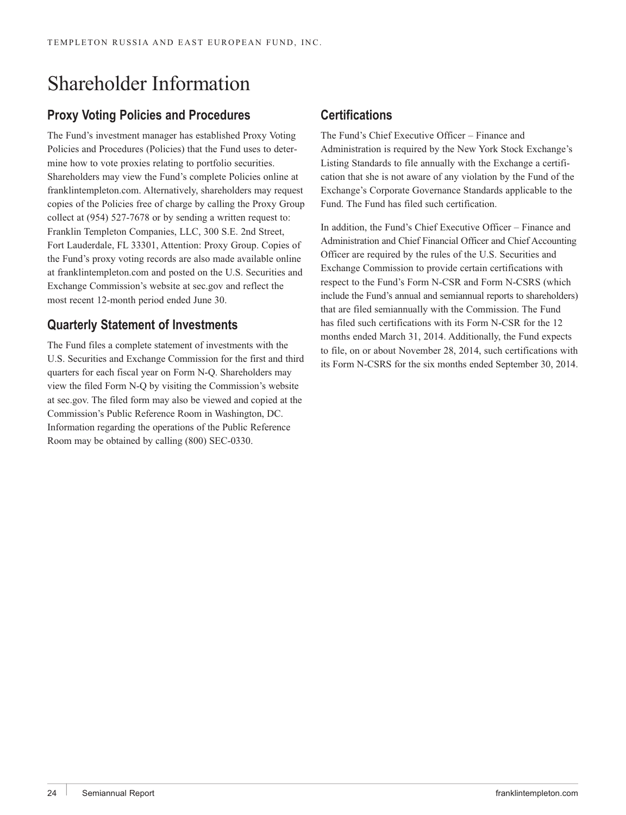# Shareholder Information

# **Proxy Voting Policies and Procedures**

The Fund's investment manager has established Proxy Voting Policies and Procedures (Policies) that the Fund uses to determine how to vote proxies relating to portfolio securities. Shareholders may view the Fund's complete Policies online at franklintempleton.com. Alternatively, shareholders may request copies of the Policies free of charge by calling the Proxy Group collect at (954) 527-7678 or by sending a written request to: Franklin Templeton Companies, LLC, 300 S.E. 2nd Street, Fort Lauderdale, FL 33301, Attention: Proxy Group. Copies of the Fund's proxy voting records are also made available online at franklintempleton.com and posted on the U.S. Securities and Exchange Commission's website at sec.gov and reflect the most recent 12-month period ended June 30.

# **Quarterly Statement of Investments**

The Fund files a complete statement of investments with the U.S. Securities and Exchange Commission for the first and third quarters for each fiscal year on Form N-Q. Shareholders may view the filed Form N-Q by visiting the Commission's website at sec.gov. The filed form may also be viewed and copied at the Commission's Public Reference Room in Washington, DC. Information regarding the operations of the Public Reference Room may be obtained by calling (800) SEC-0330.

# **Certifications**

The Fund's Chief Executive Officer – Finance and Administration is required by the New York Stock Exchange's Listing Standards to file annually with the Exchange a certification that she is not aware of any violation by the Fund of the Exchange's Corporate Governance Standards applicable to the Fund. The Fund has filed such certification.

In addition, the Fund's Chief Executive Officer – Finance and Administration and Chief Financial Officer and Chief Accounting Officer are required by the rules of the U.S. Securities and Exchange Commission to provide certain certifications with respect to the Fund's Form N-CSR and Form N-CSRS (which include the Fund's annual and semiannual reports to shareholders) that are filed semiannually with the Commission. The Fund has filed such certifications with its Form N-CSR for the 12 months ended March 31, 2014. Additionally, the Fund expects to file, on or about November 28, 2014, such certifications with its Form N-CSRS for the six months ended September 30, 2014.